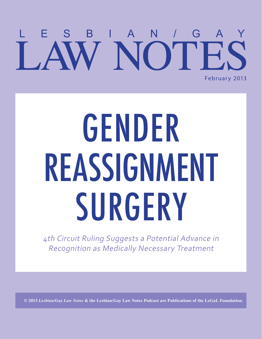### ESBIAN/G W NOTE February 2013

# GENDER REASSIGNMENT SURGERY

4th Circuit Ruling Suggests a Potential Advance in Recognition as Medically Necessary Treatment

**© 2013** *Lesbian/Gay Law Notes* **& the Lesbian/Gay Law Notes Podcast are Publications of the LeGaL Foundation.**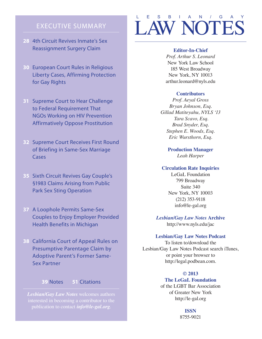#### EXECUTIVE SUMMARY

- **28** 4th Circuit Revives Inmate's Sex Reassignment Surgery Claim
- **30** European Court Rules in Religious Liberty Cases, Affirming Protection for Gay Rights
- **31** Supreme Court to Hear Challenge to Federal Requirement That NGOs Working on HIV Prevention Affirmatively Oppose Prostitution
- **32** Supreme Court Receives First Round of Briefing in Same-Sex Marriage Cases
- **35** Sixth Circuit Revives Gay Couple's §1983 Claims Arising from Public Park Sex Sting Operation
- **37** A Loophole Permits Same-Sex Couples to Enjoy Employer Provided Health Benefits in Michigan
- **38** California Court of Appeal Rules on Presumptive Parentage Claim by Adoptive Parent's Former Same-Sex Partner

#### **39** Notes **51** Citations

*Lesbian/Gay Law Notes* welcomes authors publication to contact *info@le-gal.org*.

### LAW NOTES LESBIAN/GAY

#### **Editor-In-Chief**

*Prof. Arthur S. Leonard*  New York Law School 185 West Broadway New York, NY 10013 arthur.leonard@nyls.edu

#### **Contributors**

*Prof. Aeyal Gross Bryan Johnson, Esq. Gillad Matiteyahu, NYLS '13 Tara Scavo, Esq. Brad Snyder, Esq. Stephen E. Woods, Esq. Eric Wursthorn, Esq.*

> **Production Manager** *Leah Harper*

#### **Circulation Rate Inquiries**

LeGaL Foundation 799 Broadway Suite 340 New York, NY 10003 (212) 353-9118 info@le-gal.org

*Lesbian/Gay Law Notes* **Archive**  http://www.nyls.edu/jac

#### **Lesbian/Gay Law Notes Podcast**

To listen to/download the Lesbian/Gay Law Notes Podcast search iTunes, or point your browser to http://legal.podbean.com.

#### **© 2013**

#### **The LeGaL Foundation**

of the LGBT Bar Association of Greater New York http://le-gal.org

> **ISSN**  8755-9021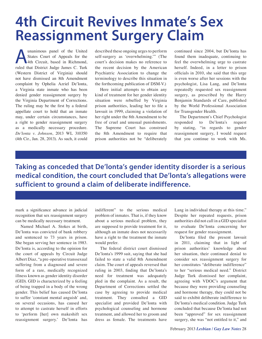### **4th Circuit Revives Inmate's Sex Reassignment Surgery Claim**

Inanimous panel of the United<br>States Court of Appeals for the<br>4th Circuit, based in Richmond,<br>ruled that District Judge James C. Turk States Court of Appeals for the 4th Circuit, based in Richmond, ruled that District Judge James C. Turk (Western District of Virginia) should not have dismissed an 8th Amendment complaint by Ophelia Azriel De'lonta, a Virginia state inmate who has been denied gender reassignment surgery by the Virginia Department of Corrections. The ruling may be the first by a federal appellate court to hold that an inmate may, under certain circumstances, have a right to gender reassignment surgery as a medically necessary procedure. *De'lonta v. Johnson*, 2013 WL 310350 (4th Cir., Jan. 28, 2013). As such, it could

described these ongoing urges to perform self-surgery as 'overwhelming.'" (The court's decision makes no reference to the recent decision by the American Psychiatric Association to change the terminology to describe this situation in the forthcoming publication of DSM-V.)

Here initial attempts to obtain any kind of treatment for her gender identity situation were rebuffed by Virginia prison authorities, leading her to file a lawsuit in 1999, claiming a violation of her right under the 8th Amendment to be free of cruel and unusual punishments. The Supreme Court has construed the 8th Amendment to require that prison authorities not be "deliberately

continued since 2004, but De'lonta has found them inadequate, continuing to feel the overwhelming urge to castrate herself. Indeed, in a letter to prison officials in 2010, she said that this urge is even worse after her sessions with the psychologist, Lisa Lang, and De'lonta repeatedly requested sex reassignment surgery, as prescribed by the Harry Benjamin Standards of Care, published by the World Professional Association for Transgender Health.

The Department's Chief Psychologist responded to De'lonta's request by stating, "in regards to gender reassignment surgery, I would request that you continue to work with Ms.

**Taking as conceded that De'lonta's gender identity disorder is a serious medical condition, the court concluded that De'lonta's allegations were sufficient to ground a claim of deliberate indifference.**

mark a significance advance in judicial recognition that sex reassignment surgery can be medically necessary treatment.

Named Michael A. Stokes at birth, De'lonta was convicted of bank robbery and sentenced to 73 years in prison. She began serving her sentence in 1983. De'lonta is, according to the opinion for the court of appeals by Circuit Judge Albert Diaz, "a pre-operative transsexual suffering from a diagnosed and severe form of a rare, medically recognized illness known as gender identity disorder (GID). GID is characterized by a feeling of being trapped in a body of the wrong gender. This belief has caused De'lonta to suffer 'constant mental anguish' and, on several occasions, has caused her to attempt to castrate herself in efforts to 'perform [her] own makeshift sex reassignment surgery.' De'lonta has

indifferent" to the serious medical problem of inmates. That is, if they know about a serious medical problem, they are supposed to provide treatment for it, although an inmate does not necessarily have a right to the treatment the inmate would prefer.

The federal district court dismissed De'lonta's 1999 suit, saying that she had failed to state a valid 8th Amendment claim. The court of appeals reversed that ruling in 2003, finding that De'lonta's need for treatment was adequately pled in the complaint. As a result, the Department of Corrections settled the case by agreeing to provide medical treatment. They consulted a GID specialist and provided De'lonta with psychological counseling and hormone treatment, and allowed her to groom and dress as female. The treatments have

Lang in individual therapy at this time." Despite her repeated requests, prison authorities did not call in a GID specialist to evaluate De'lonta concerning her request for gender reassignment.

De'lonta filed the present lawsuit in 2011, claiming that in light of prison authorities' knowledge about her situation, their continued denial to consider sex reassignment surgery for her constitutes "deliberate indifference" to her "serious medical need." District Judge Turk dismissed her complaint, agreeing with VDOC's argument that because they were providing counseling and hormone therapy, they could not be said to exhibit deliberate indifference to De'lonta's medical condition. Judge Turk concluded that because De'lonta had not been "approved" for sex reassignment surgery, she was "not entitled to it," and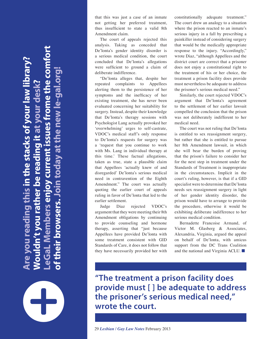**LeGaL Members enjoy current issues frome the comfort Are you reading this in the stacks of your law library?**  you reading this in the stacks of your law library? **of their browsers. Join today at the new le-gal.org! p.10° ep** ome the **Wouldn't you rather be reading it at your desk?** he new leather be reading it at y <u>ug</u>  $\mathbf{S}$ enio **ON DID DID** iner  $\overline{\mathbf{e}}$ 

that this was just a case of an inmate not getting her preferred treatment, thus insufficient to state a valid 8th Amendment claim.

The court of appeals rejected this analysis. Taking as conceded that De'lonta's gender identity disorder is a serious medical condition, the court concluded that De'lonta's allegations were sufficient to ground a claim of deliberate indifference.

"De'lonta alleges that, despite her repeated complaints to Appellees alerting them to the persistence of her symptoms and the inefficacy of her existing treatment, she has never been evaluated concerning her suitability for surgery. Instead, despite their knowledge that De'lonta's therapy sessions with Psychologist Lang actually provoked her 'overwhelming' urges to self-castrate, VDOC's medical staff's only response to De'lonta's requests for surgery was a 'request that you continue to work with Ms. Lang in individual therapy at this time.' These factual allegations, taken as true, state a plausible claim that Appellees 'actually knew of and disregarded' De'lonta's serious medical need in contravention of the Eighth Amendment." The court was actually quoting the earlier court of appeals ruling in favor of De'lonta that led to the earlier settlement.

Judge Diaz rejected VDOC's argument that they were meeting their 8th Amendment obligations by continuing to provide counseling and hormone therapy, asserting that "just because Appellees have provided De'lonta with some treatment consistent with GID Standards of Care, it does not follow that they have necessarily provided her with

constitutionally adequate treatment." The court drew an analogy to a situation where the prison reacted to an inmate's serious injury in a fall by prescribing a painkiller instead of considering surgery that would be the medically appropriate response to the injury. "Accordingly," wrote Diaz, "although Appellees and the district court are correct that a prisoner does not enjoy a constitutional right to the treatment of his or her choice, the treatment a prison facility does provide must nevertheless be adequate to address the prisoner's serious medical need."

Similarly, the court rejected VDOC's argument that De'lonta's agreement to the settlement of her earlier lawsuit compelled the conclusion that the prison was not deliberately indifferent to her medical need.

The court was not ruling that De'lonta is entitled to sex reassignment surgery, but rather that she is entitled to pursue her 8th Amendment lawsuit, in which she will bear the burden of proving that the prison's failure to consider her for the next step in treatment under the Standards of Treatment is inappropriate in the circumstances. Implicit in the court's ruling, however, is that if a GID specialist were to determine that De'lonta needs sex reassignment surgery in light of her gender identity disorder, the prison would have to arrange to provide the procedure, otherwise it would be exhibiting deliberate indifference to her serious medical condition.

Bernadette Francoise Armand, of Victor M. Glasberg & Associates, Alexandria, Virginia, argued the appeal on behalf of De'lonta, with amicus support from the DC Trans Coalition and the national and Virginia ACLU. ■

**"The treatment a prison facility does provide must [ ] be adequate to address the prisoner's serious medical need," wrote the court.**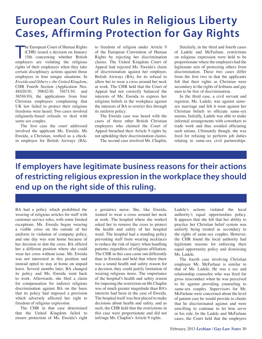### **European Court Rules in Religious Liberty Cases, Affirming Protection for Gay Rights**

he European Court of Human Rights<br>
(CHR) issued a decision on January<br>
15th concerning whether British<br>
employers are violating the religious he European Court of Human Rights (CHR) issued a decision on January 15th concerning whether British rights of their employees when they take certain disciplinary actions against those employees in four unique situations. In *Eweida and Others v. the United Kingdom*, CHR Fourth Section (Application Nos. 48420/10, 59842/10, 51671/10, and 36516/10), the applications from four Christian employees complaining that UK law failed to protect their religious freedoms were heard. Two cases involved religiously-based refusals to deal with same-sex couples.

The first case the court addressed involved the applicant Ms. Eweida. Ms Eweida, a Christian, worked as a checkin employee for British Airways (BA).

to freedom of religion under Article 9 of the European Convention of Human Rights by rejecting her discrimination claims. The United Kingdom Court of Appeal had rejected Ms. Eweida's claim of discrimination against her employer, British Airways (BA), for its refusal to allow her to wear a cross around her neck at work. The CHR held that the Court of Appeal had not correctly balanced the interests of Ms. Eweida to express her religious beliefs in the workplace against the interests of BA to restrict this through its uniform policy.

The Eweida case was heard with the cases of three other British Christian employees who claimed the Court of Appeal breached their Article 9 rights by not upholding their discrimination claims.

The second case involved Ms. Chaplin,

Similarly, in the third and fourth cases of Ladele and McFarlane, restrictions on religious expression were held to be proportionate where the employers had the legitimate aim of protecting others from discrimination. These two cases differ from the first two in that the applicants felt that their rights as Christian were secondary to the rights of lesbians and gay men to be free of discrimination.

In the third case, a civil servant and registrar, Ms. Ladele, was against samesex marriage and felt it went against her Christian beliefs to officiate same-sex unions. Initially, Ladele was able to make informal arrangements with coworkers to trade work and thus avoided officiating such unions. Ultimately though, she was fired for refusing to perform job duties relating to same-sex civil partnerships.

### **If employers have legitimate business reasons for their actions of restricting religious expression in the workplace they should end up on the right side of this ruling.**

BA had a policy which prohibited the wearing of religious articles for staff with customer service roles, with some limited exceptions. Ms. Eweida began wearing a visible cross on the outside of her uniform in violation of company policy, and one day was sent home because of her decision to don the cross. BA offered her a different position where she could wear her cross without issue. Ms. Eweida was not interested in this position and instead opted to stay at home on unpaid leave. Several months later, BA changed its policy and Ms. Eweida went back to work. Afterwards, she filed a claim for compensation for indirect religious discrimination against BA on the basis that its policy had imposed a provision which adversely affected her right to freedom of religious expression.

The CHR in that case determined that the United Kingdom failed to ensure protection of Ms. Eweida's right

a geriatrics nurse. She, like Eweida, wanted to wear a cross around her neck at work. The hospital where she worked asked her to remove the cross to protect the health and safety of her hospital ward. The hospital had a standing policy preventing staff from wearing necklaces to reduce the risk of injury when handling patients, regardless of religious affiliation. The CHR in this case came out differently than in Eweida and held that where there was a sound health and safety reason for a decision, they could justify limitation of wearing religious items. The importance of the hospital's health and safety reason for imposing the restriction on Ms Chaplin was of much greater magnitude than BA's interests had been in the case of Eweida. The hospital itself was best placed to make decisions about health and safety, and as such, the CHR held that the restrictions in this case were proportionate and did not infringe Ms. Chaplin's Article 9 rights.

Ladele's actions violated the local authority's equal opportunities policy. It appears that she felt that her ability to practice her Christian belief system was unfairly being treated as secondary to the rights of same-sex couples. However, the CHR found the local authority had legitimate reasons for enforcing their equal opportunity policy and dismissing Ms. Ladele.

The fourth case involving Christian employee Mr. McFarlane is similar to that of Ms. Ladele. He was a sex and relationship counselor who was fired for gross misconduct when he was perceived to be against providing counseling to same-sex couples. Supervisors for Mr. McFarlane were concerned about the level of patient care he would provide to clients that he discriminated against and were unwilling to continue to let him serve in his role. In the Ladele and McFarlane cases, the Court held that the employers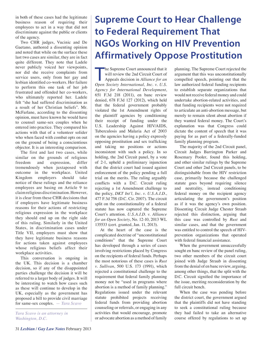in both of these cases had the legitimate business reason of requiring their employees to act in a way that did not discriminate against the public or clients of the agency.

Two CHR judges, Vucinic and De Gaetano, authored a dissenting opinion and noted that while on the surface these last two cases are similar, they are in fact quite different. They note that Ladele never publicly voiced her viewpoints, nor did she receive complaints from service users, only from her gay and lesbian identified co-workers. Her failure to perform this one task of her job frustrated and offended her co-workers, who ultimately reported her. Ladele felt "she had suffered discrimination as a result of her Christian beliefs". Mr. McFarlane, according to the dissenting opinion, must have known he would have to counsel same-sex couples when he entered into practice. They compared his actions with that of a volunteer solider who when faced with combat opts on out on the ground of being a conscientious objector. It is an interesting comparison.

The first and last two cases, while similar on the grounds of religious freedom and expression, differ tremendously when juxtaposed with outcome in the workplace. United Kingdom employers should take notice of these rulings and the reliance employees are basing on Article 9 to claim religious discrimination. However, it is clear from these CHR decisions that if employers have legitimate business reasons for their actions of restricting religious expression in the workplace they should end up on the right side of this ruling. Similarly in the United States, in discrimination cases under Title VII, employers must show that they have legitimate business reasons for actions taken against employees whose religious beliefs affect their workplace activities.

This conversation is ongoing in the UK. This decision is a chamber decision, so if any of the disappointed parties challenge the decision it will be referred to a larger body of judges. It will be interesting to watch how cases such as these will continue to develop in the UK, especially as the government has proposed a bill to provide civil marriage for same-sex couples. — *Tara Scavo*

*Tara Scavo is an attorney in Washington, D.C.* 

### **Supreme Court to Hear Challenge to Federal Requirement That NGOs Working on HIV Prevention Affirmatively Oppose Prostitution**

The Supreme Court announced that it<br>
will review the 2nd Circuit Court of<br>
Appeals decision in *Alliance for an*<br>
Onen Society International, Inc. y. *II* S. he Supreme Court announced that it will review the 2nd Circuit Court of *Open Society International, Inc. v. U.S. Agency for International Development*, 651 F.3d 218 (2011), en banc review denied, 678 F.3d 127 (2012), which held that the federal government probably violated the 1st Amendment rights of the plaintiff agencies by conditioning their receipt of funding under the U.S. Leadership Against HIV/AIDS, Tuberculosis and Malaria Act of 2003 on the agencies having a policy expressly opposing prostitution and sex trafficking and taking no positions or actions inconsistent with such a policy. In so holding, the 2nd Circuit panel, by a vote of 2-1, upheld a preliminary injunction that the district court had issued against enforcement of the policy pending a full trial on the merits. The ruling arguably conflicts with a D.C. Circuit ruling rejecting a 1st Amendment challenge to the policy, *DKT Int'l, Inc. v. U.S.A.I.D.*, 477 F.3d 758 (D.C. Cir. 2007). The circuit split on the constitutionality of a federal statute has now captured the Supreme Court's attention. *U.S.A.I.D. v. Alliance for an Open Society*, No. 12-10, 2013 WL 135533 (cert. granted, Jan. 11, 2013).

At the heart of the case is the complicated doctrine of "unconstitutional conditions" that the Supreme Court has developed through a series of cases involving restrictions placed by Congress on the recipients of federal funds. Perhaps the most notorious of these cases is *Rust v. Sullivan*, 500 U.S. 173 (1991), which rejected a constitutional challenge to the requirement that federal family planning money not be "used in programs where abortion is a method of family planning." Regulations issued under the relevant statute prohibited projects receiving federal funds from providing abortion counseling or referrals, or engaging in any activities that would encourage, promote or advocate abortion as a method of family

planning. The Supreme Court rejected the argument that this was unconstitutionally compelled speech, pointing out that the law authorized federal funding recipients to establish separate organizations that would not receive federal money and could undertake abortion-related activities, and that funding recipients were not required to articulate an anti-abortion message, but merely to remain silent about abortion if they wanted federal money. The Court's explanation was that Congress could dictate the content of speech that it was paying for as part of a federally-funded family planning program.

The majority of the 2nd Circuit panel, Circuit Judges Barrington Parker and Rosemary Pooler, found this holding, and other similar rulings by the Supreme Court and other 2nd Circuit panels, to be distinguishable from the HIV restriction case, primarily because the challenged statute goes beyond requiring silence and neutrality, instead conditioning federal money on the recipient agency articulating the government's position as if it was the agency's own position. Dissenting Circuit Judge Chester Straub rejected this distinction, arguing that this case was controlled by *Rust* and similar cases, and that the government was entitled to control the speech of HIVprevention organizations that operated with federal financial assistance.

When the government unsuccessfully sought en banc review of the panel ruling, two other members of the circuit court joined with Judge Straub in dissenting from the denial of en banc review, arguing, among other things, that the split with the D.C. Circuit signified the importance of the issue, meriting reconsideration by the full circuit bench.

When the case was pending before the district court, the government argued that the plaintiffs did not have standing to seek a constitutional ruling because they had failed to take an alternative course offered by regulations to set up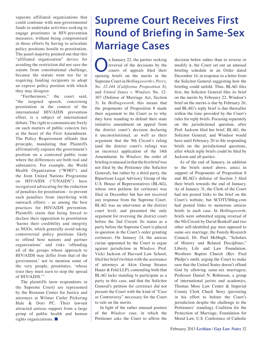separate affiliated organizations that could continue with non-governmental funds to undertake activities seeking to engage prostitutes in HIV-prevention measures, without being compromised in those efforts by having to articulate policy positions hostile to prostitution. The panel majority pointed out that this "affiliated organization" device for avoiding the restriction did not save the statute from constitutional challenge, because the statute went too far in requiring funding recipients to adopt an express policy position with which they may disagree.

"Furthermore," the court said, "the targeted speech, concerning prostitution in the context of the international HIV/AIDS prevention effort, is a subject of international debate. The right to communicate freely on such matters of public concern lies at the heart of the First Amendment. The Policy Requirement offends that principle, mandating that Plaintiffs affirmatively espouse the government's position on a contested public issue where the differences are both real and substantive. For example, the World Health Organization ("WHO") and the Joint United Nations Programme on HIV/AIDS ("UNAIDS") have recognized advocating for the reduction of penalties for prostitution – to prevent such penalties from interfering with outreach efforts – as among the best practices for HIV/AIDS prevention. Plaintiffs claim that being forced to declare their opposition to prostitution 'harms their credibility and integrity as NGOs, which generally avoid taking controversial policy positions likely to offend host nations and partner organizations' and risks 'offending all of the groups whose approach to HIV/AIDS may differ from that of the government,' not to mention some of the very people, prostitutes, 'whose trust they must earn to stop the spread of HIV/AIDS.'"

The plaintiffs (now respondents in the Supreme Court) are represented by the Brennan Center for Justice and attorneys at Wilmer Cutler Pickering Hale & Dorr PC. Their lawsuit attracted amicus support from a large group of public health and human rights organizations. ■

### **Supreme Court Receives First Round of Briefing in Same-Sex Marriage Cases**

The January 22, the parties seeking<br>
courts of the decisions by the<br>
courts of appeals filed their<br>
consing briefs on the merits in the reversal of the decisions by the opening briefs on the merits in the Supreme Court in *Hollingsworth v. Perry, No. 12-144 (California Proposition 8),* and *United States v. Windsor*, No. 12- 307 (Defense of Marriage Act, Section 3). In *Hollingsworth*, this means that the proponents of Proposition 8 made their argument to the Court as to why they have standing to defend their state initiative amendment on appeal from the district court's decision declaring it unconstitutional, as well as their argument that the 9th Circuit's ruling (and the district court's ruling) was an incorrect application of the 14th Amendment. In *Windsor*, the order of briefing is unusual in that the first brief was not filed by the Petitioner (the Solicitor General), but rather by a third party, the Bipartisan Legal Advisory Group of the U.S. House of Representatives (BLAG), whose own petition for certiorari was filed in December but has not received any response from the Supreme Court. BLAG was an intervenor at the district court level, and presented the only argument for reversing the district court before the 2nd Circuit. Its status as a party before the Supreme Court is placed in question in the Court's order granting certiorari. On January 24, the amicus curiae appointed by the Court to argue against jurisdiction in *Windsor*, Prof. Vicki Jackson of Harvard Law School, filed her brief (written with the assistance of attorneys at Akin Gump Strauss Hauer & Feld LLP), contending both that BLAG lacks standing to participate as a party in this case, and that the Solicitor General's petition for certiorari did not present the Court with the kind of "Case or Controversy" necessary for the Court to rule on the merits.

In light of the rather unusual posture of the *Windsor* case, in which the Petitioner asks the Court to affirm the decision below rather than to reverse or modify it, the Court set out an unusual briefing schedule in an Order dated December 14, in response to a letter from the Solicitor General suggesting how the briefing could unfold. Thus, BLAG files first, the Solicitor General files its brief on the merits by February 22, Windsor's brief on the merits is due by February 26, and BLAG's reply brief is due thereafter within the time provided by the Court's rules for reply briefs. Focusing separately on the jurisdictional question, after Prof. Jackson filed her brief, BLAG, the Solicitor General, and Windsor would have until February 20 to file responding briefs on the jurisdictional questions, after which reply briefs could be filed by Jackson and all parties.

As of the end of January, in addition to the briefs noted above, amici in support of Proponents of Proposition 8 and BLAG's defense of Section 3 filed their briefs towards the end of January. As of January 31, the Clerk of the Court had not posted links to the brief on the Court's website, but SCOTUSblog.com had posted links to numerous amicus briefs in each case. In *Hollingsworth*, briefs were submitted urging reversal of the 9th Circuit by David Benkoff and two other self-identified gay men opposed to same-sex marriage, the Family Research Council, Dr. Paul McHugh, "Scholars of History and Related Disciplines," Liberty Life and Law Foundation, Westboro Baptist Church (Rev. Fred Phelps's outfit, urging the Court to make sure that the United States doesn't offend God by allowing same-sex marriages), Professor Daniel N. Robinson, a group of international jurists and academics, Thomas More Law Center & Imperial County Clerk Chuck Story (persisting in his effort to bolster the Court's jurisdiction despite the challenge to the Petitioners' standing), Coalition for the Protection of Marriage, Foundation for Moral Law, U.S. Conference of Catholic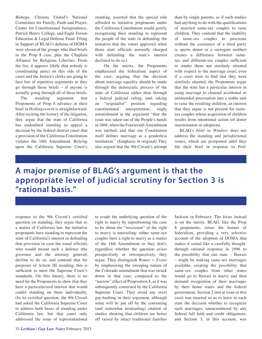Bishops, Citizens United's National Committee for Family, Faith and Prayer, Center for Constitutional Jurisprudence, Patrick Henry College, and Eagle Forum Education & Legal Defense Fund. Filing in Support of BLAG's defense of DOMA were eleven of the groups who filed briefs in the Prop 8 case, plus the Chaplain Alliance for Religious Liberties. From the list, it appears likely that nobody is coordinating amici on this side of the cases and the Justice's clerks are going to face lots of repetitive arguments as they go through these briefs – if anyone is actually going through all of these briefs.

The standing argument that Proponents of Prop 8 advance in their brief in *Hollingsworth* is straightforward. After reciting the history of the litigation, they argue that the state of California has undoubted standing to appeal a decision by the federal district court that a provision of the California Constitution violates the 14th Amendment. Relying upon the California Supreme Court's

standing, asserted that the special role afforded to initiative proponents under the California Constitution would justify recognizing their standing to represent the people of the state in defending the initiative that the voters approved when those state officials normally charged with defending the state's interest declined to do so.)

 On the merits, the Proponents emphasized the federalism aspect of the case, arguing that the decision about marriage equality should be made through the democratic process of the state of California rather than through a federal judicial ruling, and, taking an "originalist" position regarding constitutional interpretation, imply astonishment at the argument "that the issue was taken out of the People's hands in 1868, when the Fourteenth Amendment was ratified, and that our Constitution itself defines marriage as a genderless institution." (Emphasis in original) They also argued that the 9th Circuit's attempt

than by single parents, as if such studies had anything to do with the qualifications of married same-sex couples to raise children. They contend that the inability of same-sex couples to procreate without the assistance of a third party (a sperm donor or a surrogate mother) creates a difference between samesex and different-sex couples sufficient to render them not similarly situated with respect to the marriage issue; even if a court were to find that they were similarly situated, the Proponents argue that the state has a particular interest in using marriage to channel accidental or unintended procreation into a stable unit to raise the resulting children, an interest that they argue is not present for samesex couples whose acquisition of children results from intentional action (of donor insemination or adoption).

BLAG's brief in *Windsor* does not address the standing and jurisdictional issues, which are postponed until they file their brief in response to Prof.

#### **A major premise of BLAG's argument is that the appropriate level of judicial scrutiny for Section 3 is "rational basis."**

response to the 9th Circuit's certified question on standing, they argue that as a matter of California law, the initiative proponents have standing to represent the state of California's interest in defending that provision in case the usual officials who would mount such a defense (the governor and the attorney general) decline to do so, and contend that for purposes of Article III standing, this is sufficient to meet the Supreme Court's standards. On this theory, there is no need for the Proponents to show that they have a particularized interest that would confer standing on them individually. (In its certified question, the 9th Circuit had asked the California Supreme Court to address both bases of standing under California law, but that court only addressed the issue of representational

to evade the underlying question of the right to marry by repositioning the case to be about the "rescission" of the right to marry is unavailing: either same-sex couples have a right to marry as a matter of the 14th Amendment or they don't, regardless whether the question arises prospectively or retrospectively, they argue. They distinguish *Romer v. Evans* by emphasizing the sweeping nature of the Colorado amendment that was struck down in that case, compared to the "narrow" effect of Proposition 8, as it was subsequently construed by the California Supreme Court. They avoid any overt gay-bashing in their argument, although some will be put off by the continuing (and somewhat misleading) citation of studies showing that children are better off raised by intact traditional families

Jackson in February. The focus instead is on the merits. BLAG, like the Prop 8 proponents, raises the banner of federalism, providing a very selective account of the adoption of DOMA that makes it sound like a carefully thoughtthrough rational response in 1996 to the possibility that one state – Hawaii – might be making same-sex marriages available, creating the possibility that same-sex couples from other states would go to Hawaii to marry and then demand recognition of their marriages by their home states and the federal government. Section 2 (not at issue in this case) was enacted so as to leave to each state the decision whether to recognize such marriages, unencumbered by any federal full faith and credit obligations, and Section 3, in this account, was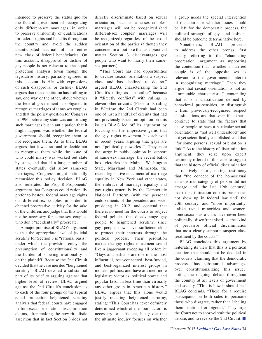intended to preserve the status quo for the federal government of recognizing only different-sex marriages, in order to preserve uniformity of qualifications for federal rights and benefits throughout the country and avoid the sudden unanticipated accrual of an entire new class of federal beneficiaries. On this account, disapproval or dislike of gay people is not relevant to the equal protection analysis (even though the legislative history, partially ignored in this account, is rife with expressions of such disapproval or dislike). BLAG argues that the constitution has nothing to say, one way or the other, about whether the federal government is obligated to recognize marriages of same-sex couples, and that the policy question for Congress in 1996, before any state was authorizing such marriages but in anticipation that it might happen, was whether the federal government should recognize them or not recognize them. As to that, BLAG argues that it was rational to decide not to recognize them while the issue of who could marry was worked out state by state, and that if a large number of states eventually did allow same-sex marriages, Congress might rationally reconsider this policy decision. BLAG also reiterated the Prop 8 Proponents' argument that Congress could rationally prefer to bestow federal marriage rights on different-sex couples in order to channel procreative activity for the sake of the children, and judge that this would not be necessary for same-sex couples, who don't "accidentally" procreate.

A major premise of BLAG's argument is that the appropriate level of judicial scrutiny for Section 3 is "rational basis," under which the provision enjoys the presumption of constitutionality and the burden of showing irrationality is on the plaintiff. Because the 2nd Circuit decided that the case merited "heightened scrutiny," BLAG devoted a substantial part of its brief to arguing against that higher level of review. BLAG argued against the 2nd Circuit's conclusion as to each of the four prongs of the typical equal protection heightened scrutiny analysis that federal courts have engaged in for sexual orientation discrimination claims, after making the now-ritualistic assertion that in fact Section 3 does not

directly discriminate based on sexual orientation, because same-sex couples' marriages will not be recognized (and different-sex couples' marriages will be recognized) regardless of the sexual orientation of the parties (although they conceded in a footnote that as a practical matter Section 3 disadvantages gay people who want to marry their samesex partners).

"This Court has had opportunities to declare sexual orientation a suspect class and has declined to do so," argued BLAG, characterizing the 2nd Circuit's ruling as "an outlier" because it "directly conflicts" with rulings in eleven other circuits. (Prior to its ruling in *Windsor*, the 2nd Circuit had been one of just a handful of circuits that had not previously issued an opinion on this issue.) BLAG led off its argument by focusing on the impressive gains that the gay rights movement has achieved in recent years, arguing that gays are not "politically powerless." They note the surge in public opinion in support of same-sex marriage, the recent ballot box victories in Maine, Washington State, Maryland and Minnesota, the recent legislative enactment of marriage equality in New York and other states, the embrace of marriage equality and gay rights generally by the Democratic National Platform (with the personal endorsements of the president and vicepresident) in 2012, and contend that there is no need for the courts to subject federal policies that disadvantage gay people to heightened scrutiny, since gay people now have sufficient clout to protect their interests through the political process. Their peroration makes the gay rights movement sound like a juggernaut sweeping all before it: "Gays and lesbians are one of the most influential, best-connected, best-funded, and best-organized interest groups in modern politics, and have attained more legislative victories, political power, and popular favor in less time than virtually any other group in American history." BLAG argues that this alone would justify rejecting heightened scrutiny, stating: "This Court has never definitely determined which of the four factors is necessary or sufficient, but given that the ultimate inquiry focuses on whether a group needs the special intervention of the courts or whether issues should be left for the democratic process, the political strength of gays and lesbians should be outcome determinative here."

Nonetheless, BLAG proceeds to address the other prongs, first briefly referring to the "channeling procreation" argument as supporting the contention that "whether a married couple is of the opposite sex is relevant to the government's interest in recognizing marriage." Then they argue that sexual orientation is not an "immutable characteristic," contending that it is a classification defined by behavioral propensities, to distinguish it from previously-recognized suspect classifications, and that scientific experts continue to state that the factors that cause people to have a particular sexual orientation as "not well understood" and not yet scientifically established, and that "for some persons, sexual orientation is fluid." As to the history of discrimination argument, they seize upon expert testimony offered in this case to suggest that the history of official discrimination is relatively short, noting testimony that "the concept of the homosexual as a distinct category of person did not emerge until the late 19th century," overt discrimination on this basis does not show up in federal law until the 20th century, and "more importantly, unlike racial minorities and women, homosexuals as a class have never been politically disenfranchised – the kind of pervasive official discrimination that most clearly supports suspect class treatment by the courts."

BLAG concludes this argument by reiterating its view that this is a political question that should not be decided in the courts, claiming that the democratic process "has substantial advantages over constitutionalizing this issue," noting the ongoing debate throughout the country at all levels of government and society. "This is how it should be," BLAG contends. "These for a require participants on both sides to persuade those who disagree, rather than labeling them irrational or bigoted." They urge the Court not to short-circuit the political debate, and to reverse the 2nd Circuit. ■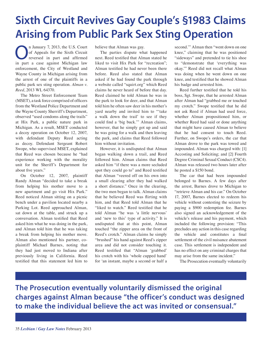### **Sixth Circuit Revives Gay Couple's §1983 Claims Arising from Public Park Sex Sting Operation**

n January 7, 2013, the U.S. Court of Appeals for the Sixth Circuit reversed in part and affirmed in part a case against Michigan law enforcement, the City of Westland and Wayne County in Michigan arising from the arrest of one of the plaintiffs in a public park sex sting operation. *Alman v. Reed*, 2013 WL 64370.

The Metro Street Enforcement Team (MSET), a task force comprised of officers from the Westland Police Department and the Wayne County Sherriff's Department, observed "used condoms along the trails" at Hix Park, a public nature park in Michigan. As a result, MSET conducted a decoy operation on October 12, 2007, with defendant Deputy Reed acting as decoy. Defendant Sergeant Robert Swope, who supervised MSET, explained that Reed was chosen because he "had experience working with the morality unit for the Sheriff's Department for about five years."

On October 12, 2007, plaintiff Randy Alman "decided to take a break from helping his mother move to a new apartment and go visit Hix Park." Reed noticed Alman sitting on a picnic bench under a pavilion located nearby a Parking Lot. Reed approached Alman, sat down at the table, and struck up a conversation. Alman testified that Reed asked him what he was doing in the park, and Alman told him that he was taking a break from helping his mother move. Alman also mentioned his partner, coplaintiff Michael Barnes, noting that they had just moved to Indiana after previously living in California. Reed testified that this statement led him to

believe that Alman was gay.

The parties dispute what happened next. Reed testified that Alman stated he liked to visit Hix Park for "recreation"; Alman testified he had never been there before. Reed also stated that Alman asked if he had found the park through a website called "squirt.org" which Reed claims he never heard of before that day. Reed claimed he told Alman he was in the park to look for deer, and that Alman told him he often saw deer in his mother's yard nearby and invited him to "'take a walk down the trail' to see if they could find a 'big buck.'" Alman claims, however, that he simply got up and said he was going for a walk and then leaving the park, and claims that Reed followed him without invitation.

However, it is undisputed that Alman began walking down a trail, and Reed followed him. Alman claims that Reed asked him "if there was a more secluded spot they could go to" and Reed testified that Alman "veered off on his own into a small clearing after they had walked a short distance." Once in the clearing, the two men began to talk. Alman claims that he believed Reed was flirting with him, and that Reed told Alman that he "liked to watch." Reed testified that he told Alman "he was 'a little nervous' and 'new to this' type of activity." It is undisputed that at this point, Alman touched "the zipper area on the front of Reed's crotch." Alman claims he simply "brushed" his hand against Reed's zipper area and did not consider touching it. Reed testified that "Alman 'grabbed' his crotch with his 'whole cupped hand' for 'an instant, maybe a second or half a second.'" Alman then "went down on one knee," claiming that he was positioned "sideways" and pretended to tie his shoe to "demonstrate that 'everything was okay.'" Reed did not recall what Alman was doing when he went down on one knee, and testified that he showed Alman his badge and arrested him.

Reed further testified that he told his boss, Sgt. Swope, that he arrested Alman after Alman had "grabbed me or touched my crotch." Swope testified that he did not ask Reed if Alman had used force, whether Alman propositioned him, or whether Reed had said or done anything that might have caused Alman to believe that he had consent to touch Reed. Further, on Swope's orders, the car that Alman drove to the park was towed and impounded. Alman was charged with: [1] Accosting and Soliciting; and [2] Fourth Degree Criminal Sexual Conduct (CSC4). Alman was released two hours later after he posted a \$150 bond.

The car that had been impounded belonged to Barnes. A few days after the arrest, Barnes drove to Michigan to "retrieve Alman and his car." On October 17, 2007, Barnes elected to redeem his vehicle without contesting the seizure by paying a \$900 redemption fee. Barnes also signed an acknowledgement of the vehicle's release and his payment, which included the following provision: "This precludes any action in this case regarding the vehicle and constitutes a final settlement of the civil nuisance abatement case. This settlement is independent and has no effect on any criminal charges that may arise from the same incident."

The Prosecution eventually voluntarily

**The Prosecution eventually voluntarily dismissed the original charges against Alman because "the officer's conduct was designed to make the individual believe the act was invited or consensual."**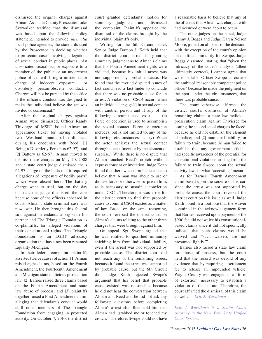dismissed the original charges against Alman. Assistant County Prosecutor Luke Skywalker testified that the dismissal was based upon the following policy statement, intended to provide, *inter alia* local police agencies, the standards used by the Prosecutor in deciding whether to prosecute cases involving allegations of sexual conduct in public places: "An unsolicited sexual act or exposure to a member of the public or an undercover police officer will bring a misdemeanor charge of indecent exposure… or disorderly person-obscene conduct… Charges will not be pursued by this office if the officer's conduct was designed to make the individual believe the act was invited or consensual."

After the original charges against Alman were dismissed, Officer Randy Thivierge of MSET issued Alman an appearance ticket for having violated two Westland municipal ordinances during his encounter with Reed: [1] Being a Disorderly Person (s 62-97); and [2] Battery (s 62-67). Alman moved to dismiss these charges on May 20, 2008 and a state court judge dismissed the s 62-97 charge on the basis that it required allegations of "exposure of bodily parts" which were absent here. The battery charge went to trial, but on the day of trial, the judge dismissed the case because none of the officers appeared in court. Alman's state criminal case was now over. He then brought this federal suit against defendants, along with his partner and The Triangle Foundation as co-plaintiffs, for alleged violations of their constitutional rights. The Triangle Foundation is an LGBT advocacy organization that has since been renamed Equality Michigan.

In their federal complaint, plaintiffs asserted twelve causes of action: [1] Alman raised eight claims, based on the Fourth Amendment, the Fourteenth Amendment and Michigan state malicious prosecution law; [2] Barnes raised three claims based on the Fourth Amendment and state law abuse of process; and [3] plaintiffs together raised a First Amendment claim, alleging that defendant's conduct would chill other members of The Triangle Foundation from engaging in protected activity. On October 7, 2010, the district

court granted defendants' motion for summary judgment and dismissed the complaint. Plaintiffs appealed the dismissal of the claims brought by the individual plaintiffs only.

Writing for the 6th Circuit panel, Senior Judge Damon J. Keith held that the district court erred in granting summary judgment as to Alman's claims that his Fourth Amendment rights were violated, because his initial arrest was not supported by probable cause. He found that the myriad disputed issues of fact could lead a fact-finder to conclude that there was no probable cause for an arrest. A violation of CSC4 occurs when an individual "engage[s] in sexual contact with another person and if any of the following circumstances exist: … (b) Force or coercion is used to accomplish the sexual contact. Force or coercion includes, but is not limited to, any of the following circumstances: … (v) When the actor achieves the sexual contact through concealment or by the element of surprise." While there is no dispute that Alman touched Reed's crotch without express consent or invitation, Judge Keith found that there was no probable cause to believe that Alman was about to use or did use force or otherwise surprised him, as is necessary to sustain a conviction under CSC4. Therefore, it was error for the district court to find that probable cause to commit CSC4 existed as a matter of law. Based on the same reasoning, the court reversed the district court on Alman's claims relating to the other three charges that were brought against him.

On appeal, Sgt. Swope argued that he was entitled to qualified immunity shielding him from individual liability, even if the arrest was not supported by probable cause. The district court did not reach any of the remaining issues, because it found the arrest was supported by probable cause, but the 6th Circuit did. Judge Keith rejected Swope's argument that his belief that probable cause existed was reasonable, because he did not hear the conversation between Alman and Reed and he did not ask any follow-up questions before completing Alman's arrest after Reed told him that Alman had "grabbed me or touched my crotch." Therefore, Swope could not have

a reasonable basis to believe that any of the offenses that Alman was charged with had occurred or were about to occur.

The other judges on the panel, Judge Danny J. Boggs and Judge Karen Nelson Moore, joined on all parts of the decision, with the exception of the court's opinion on qualified immunity for Swope. Judge Boggs dissented, stating that "given the intricacy of the court's analysis (albeit ultimately correct), I cannot agree that we must label Officer Swope as outside the ambit of 'reasonably competent police officer' because he made the judgment on the spot, under the circumstances, that there was probable cause."

The court otherwise affirmed the district court's dismissal of Alman's remaining claims: a state law malicious prosecution claim against Thivierge for issuing the second set of charges he faced, because he did not establish the element of malice; and [2] municipal liability for failure to train, because Alman failed to establish that any government officials had specific awareness of the potential for constitutional violations arising from the failure to train Swope about the sexual activity laws or what "accosting" meant.

As for Barnes' Fourth Amendment claim based upon the seizure of his car, since the arrest was not supported by probable cause, the court reversed the district court on this issue as well. Judge Keith noted in a footnote that the waiver contained in the acknowledgement form that Barnes received upon payment of the \$900 fee did not waive his constitutionalbased claims since it did not specifically indicate that such claims would be waived and "such waivers are not presumed lightly.'"

Barnes also raised a state law claim for abuse of process, but the court held that the record was devoid of any evidence that by requiring a settlement fee to release an impounded vehicle, Wayne County was engaged in a "form of extortion" necessary to establish a violation of the statute. Therefore, the court affirmed the dismissal of this claim as well. — *Eric J. Wursthorn*

*Eric J. Wursthorn is a Senior Court Attorney in the New York State Unified Court System.*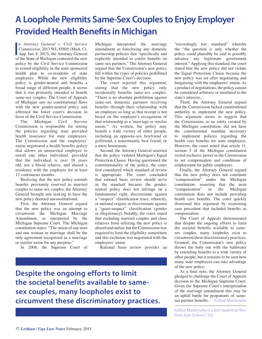### **A Loophole Permits Same-Sex Couples to Enjoy Employer Provided Health Benefits in Michigan**

n Attorney General v. Civil Service<br>Commission, 2013 WL 85805 (Mich. Ct.<br>App. Jan. 8, 2013), the Attorney General<br>of the State of Michigan contested the new n *Attorney General v. Civil Service Commission*, 2013 WL 85805 (Mich. Ct. of the State of Michigan contested the new policy by the Civil Service Commission to extend eligibility in the state sponsored health plan to co-residents of state employees. While the new eligibility policy is gender-neutral and benefits a broad range of different people, it seems that it was primarily intended to benefit same-sex couples. The Court of Appeals of Michigan saw no constitutional flaws with the new gender-neutral policy and affirmed the lower court's decision in favor of the Civil Service Commission.

The Michigan Civil Service Commission is responsible for setting the policies regarding state provided health insurance for state employees. The Commission and the employees' union negotiated a health benefits policy that allows an unmarried employee to enroll one other individual, provided that the individual is over 18 years old, not a blood relative, and shared a residence with the employee for at least 12 continuous months.

Realizing that the new policy extends benefits previously reserved to married couples to same-sex couples, the Attorney General brought suit seeking to have the new policy deemed unconstitutional.

First, the Attorney General argued that the new policy was an attempt to circumvent the Michigan Marriage Amendment, as interpreted by the Michigan Supreme Court. The Michigan constitution states: "The union of one man and one woman in marriage shall be the only agreement recognized as a marriage or similar union for any purpose."

In 2008, the Supreme Court of

Michigan interpreted the marriage amendment as foreclosing any domestic partnership policies that "specifically and explicitly intended to confer benefits on same-sex partners." The Attorney General argued that the Commission's new policy fell within the types of policies prohibited by the Supreme Court's decision.

The court rejected this argument, stating that the new policy only incidentally benefits same-sex couples. "There is no absolute prohibition against same-sex domestic partners receiving benefits through their relationship with an employee so long as that receipt is not based on the employer's recognition of that relationship as a 'marriage or similar union.'" As written, the policy may benefit a wide variety of other people, including an opposite-sex boyfriend or girlfriend, a nonromantic best friend, or a mere housemate.

Second, the Attorney General asserted that the policy violated Michigan's Equal Protection Clause. Having questioned the constitutionality of the policy, the court first considered which standard of review is appropriate. The court concluded that rational basis review should serve as the standard because the genderneutral policy does not infringe on a fundamental right, discriminate against a "suspect" classification (race, ethnicity, or national origin), or discriminate against a "quasi-suspect" classification (gender or illegitimacy). Notably, the court stated that excluding married couples and close relatives from utilizing the new policy is absurd and unfair, but the Commission was required to limit the eligibility somewhere and this exclusion was negotiated with the employees' union.

Rational basis review provides an

**Despite the ongoing efforts to limit the societal benefits available to samesex couples, many loopholes exist to circumvent these discriminatory practices.** "exceedingly low standard" whereby the "the question is only whether the policy could plausibly be said to possibly advance any legitimate government interest." Applying this standard, the court stated that the new policy did not violate the Equal Protection Clause because the new policy was set after negotiating and bargaining with the employees' union. As a product of negotiations, the policy cannot be considered arbitrary or unrelated to the state's interests.

Third, the Attorney General argued that the Commission lacked constitutional authority to implement the new policy. This argument seems to suggest that the Commission, as an entity created by the Michigan constitution, did not have the constitutional mandate necessary to implement policies regarding the health care benefits for state employees. However, the court noted that article 11, section 5 of the Michigan constitution vested exclusive power in the Commission to set compensation and conditions of employment for public employees.

Finally, the Attorney General argued that the new policy does not constitute "compensation" under the Michigan constitution, asserting that the term "compensation" in the Michigan constitution does not include providing health care benefits. The court quickly dismissed this argument by examining case precedent that included benefits as compensation.

The Court of Appeals demonstrated that despite the ongoing efforts to limit the societal benefits available to samesex couples, many loopholes exist to circumvent these discriminatory practices. Granted, the Commission's new policy throws the baby out with the bathwater by extending benefits to a wide variety of other people, but it remains to be seen how many state employees can take advantage of the new policy.

As a final note, the Attorney General pledged to challenge the Court of Appeals decision to the Michigan Supreme Court. Given the Supreme Court's interpretation of the marriage amendment this may be an uphill battle for proponents of samesex partner benefits. *— Gillad Matiteyahu*

*Gillad Matiteyahu is a law student at New York Law School ('13).*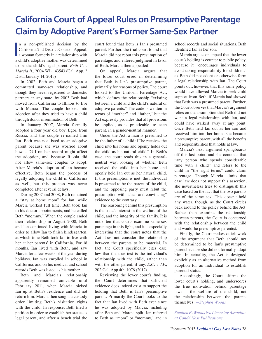### **California Court of Appeal Rules on Presumptive Parentage Claim by Adoptive Parent's Former Same-Sex Partner**

n a non-published decision by the<br>California 2nd District Court of Appeal,<br>a woman formerly in a relationship with<br>a child's adoptive mother was determined n a non-published decision by the California 2nd District Court of Appeal, a child's adoptive mother was determined to be the child's legal parent. *Beth C. v Marcia B.*, 2004 WL 143543 (Cal. App. 2 Dist., January 14, 2013)

In 2002, Beth and Marcia began a committed same-sex relationship, and though they never registered as domestic partners in any state, by 2003 Beth had moved from California to Illinois to live with Marcia. The couple looked into adoption after they tried to have a child through donor insemination of Beth.

In January 2007, Marcia formally adopted a four year old boy, Egor, from Russia, and the couple re-named him Ian. Beth was not listed as an adoptive parent because she was worried about how a DUI on her record might affect the adoption, and because Russia did not allow same-sex couples to adopt. After Marcia's adoption of Ian became effective, Beth began the process of legally adopting the child in California as well, but this process was never completed after several delays.

During 2007 and 2008, Beth remained a "stay at home mom" for Ian, while Marcia worked full time. Beth took Ian to his doctor appointments, and he called Beth "mommy." When the couple ended their relationship in August 2008, Beth and Ian continued living with Marcia in order to allow Ian to finish kindergarten, at which time Beth took Ian to live with her at her parents' in California. For 18 months, Ian lived with Beth, and saw Marcia for a few weeks of the year during holidays. Ian was enrolled in school in California, and on his medical and school records Beth was listed as his mother.

Beth and Marcia's relationship apparently remained amicable until February 2011, when Marcia picked Ian up at Beth's residence and did not return him. Marcia then sought a custody order limiting Beth's visitation rights with the child. In response, Beth filed a petition in order to establish her status as legal parent, and after a bench trial the

court found that Beth is Ian's presumed parent. Further, the trial court found that Marcia did not rebut this presumption of parentage, and entered judgment in favor of Beth. Marcia then appealed.

On appeal, Marcia argues that the lower court erred in determining that Beth is Ian's presumptive parent, primarily for reasons of policy. The court looked to the Uniform Parentage Act, which defines the relationship "existing between a child and the child's natural or adoptive parents." The code is written in terms of "mother" and "father," but the Act expressly provides that all provisions be applied, as is practicable, to each parent, in a gender-neutral manner.

Under the Act, a man is presumed to be the father of a child if "he receives the child into his home and openly holds out the child as his natural child." In Beth's case, the court reads this in a generalneutral way, looking at whether Beth received the child into her home and openly held Ian out as her natural child. If this presumption is met, the individual is presumed to be the parent of the child, and the opposing party must rebut the presumption with "clear and convincing" evidence to the contrary.

The reasoning behind this presumption is the state's interest in the welfare of the child, and the integrity of the family. It is not often that courts examine same-sex parentage in this light, and it is especially interesting that the court notes that the Act does not consider the relationship between the parents to be material. In fact, the Court specifically cites case law that the true test is the individual's relationship with the child, rather than with the other parent, if any. *E.C. v J.V.*, 202 Cal. App.4th. 1076 (2012).

Reviewing the lower court's finding, the Court determines that sufficient evidence does indeed exist to support the holding that Beth is Ian's presumptive parent. Primarily the Court looks to the fact that Ian lived with Beth ever since he was adopted by Marcia, including after Beth and Marcia split. Ian referred to Beth as "mom" or "mommy," and in school records and social situations, Beth identified Ian as her son.

Marcia argues on appeal that the lower court's holding is counter to public policy, because it "encourages individuals to avoid taking responsibility for children," as Beth did not adopt or otherwise form a legal relationship with Ian. The Court points out, however, that this same policy would have allowed Marcia to seek child support from Beth, if Marcia had showed that Beth was a presumed parent. Further, the Court observes that Marcia's argument relies on the assumption that Beth did not want a legal relationship with Ian, and could have walked away at any point. Once Beth held Ian out as her son and received him into her home, she became a presumptive parent, with all the benefits and responsibilities that holds at law.

Marcia's next argument springboards off this last point, and she contends that "any person who spends considerable time with a child" and refers to the child in "the right terms" could claim parentage. Though Marcia admits that case law does not support this assertion, she nevertheless tries to distinguish this case based on the fact that the two parents are of the same sex. This doesn't hold any water, though, as the Court circles back around to the policy behind the Act. Rather than examine the relationship between parents, the Court is concerned with the relationship between the child and would-be presumptive parent(s).

Finally, the Court makes quick work of the argument that Beth should not be determined to be Ian's presumptive parent because she did not formally adopt him. In actuality, the Act is designed explicitly as an alternative method from adoption for an individual to establish parental status.

Accordingly, the Court affirms the lower court's holding, and underscores the true motivation behind parentage laws – the welfare of the child, not the relationship between the parents themselves. *—Stephen Woods*

*Stephen E. Woods is a Licensing Associate at Condé Nast Publications.*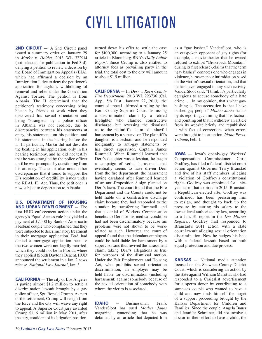# CIVIL LITIGATION

**2ND CIRCUIT** — A 2nd Circuit panel issued a summary order on January 29 in *Marku v. Holder*, 2013 WL 322914 (not selected for publication in Fed.3rd), denying a petition to review a decision by the Board of Immigration Appeals (BIA), which had affirmed a decision by an Immigration Judge to deny the petitioner's application for asylum, withholding of removal and relief under the Convention Against Torture. The petition is from Albania. The IJ determined that the petitioner's testimony concerning being beaten by friends at work when they discovered his sexual orientation and being "strangled" by a police officer in Albania was not credible, due to discrepancies between his statements at entry, his statements on his petition, and his statements in the hearing before the IJ. In particular, Marku did not describe the beating in his application, only in his hearing testimony, and he did not testify that he was strangled by the police officer until he was prompted by questioning from his attorney. The court also noted other discrepancies that it found to support the IJ's resolution of credibility issues under the REAL ID Act. Thus, the petitioner is now subject to deportation to Albania.

#### **U.S. DEPARTMENT OF HOUSING AND URBAN DEVELOPMENT** — The

first HUD enforcement action under the agency's Equal Access rule has yielded a payment of \$7,500 by Bank of America to a lesbian couple who complained that they were subjected to discriminatory treatment in their mortgage application. BoA had denied a mortgage application because the two women were not legally married, which they could not be in Florida where they applied (South Daytona Beach). HUD announced the settlement in a Jan. 2 news release. *National Law Journal*, Jan. 3.

**CALIFORNIA** — The city of Los Angeles is paying almost \$1.2 million to settle a discrimination lawsuit brought by a gay police officer, Sgt. Ronald Crump. As part of the settlement, Crump will resign from the force and the city will waive any right to appeal. A Superior Court jury awarded Crump \$1.16 million in May 2011, after the city, confident of its litigation position,

turned down his offer to settle the case for \$100,000, according to a January 25 article in Bloomberg BNA's *Daily Labor Report*. Since Crump is also entitled to attorney fees as prevailing party in the trial, the total cost to the city will amount to about \$1.5 million.

**CALIFORNIA** — In *Derr v. Kern County Fire Department*, 2013 WL 223736 (Cal. App., 5th Dist., January 22, 2013), the court of appeal affirmed a ruling by the Kern County Superior Court dismissing a discrimination claim by a retired firefighter who claimed constructive discharge, but reversing the dismissal as to the plaintiff's claim of unlawful harassment by a supervisor. The plaintiff's daughter is a lesbian, and he responded indignantly to anti-gay statements by his direct supervisor. Captain James Rummell. When Rummell learned that Derr's daughter was a lesbian, he began a campaign of verbal harassment that eventually seems to have driven Derr from the fire department, the harassment having escalated after Rummell learned of an anti-Proposition 8 sign planted on Derr's lawn. The court found that the Fire Department and the County could not be held liable on a constructive discharge claim because they had responded to the situation by transferring Rummell, and that a denial of Workers Compensation benefits to Derr for his medical condition had not been discriminatory because his problems were not shown to be workrelated as such. However, the court of appeal found that the defendant employers could be held liable for harassment by a supervisor, and thus revived the harassment claim, taking Derr's allegations as true for purposes of the dismissal motion. Under the Fair Employment and Housing Act, who prohibits sexual orientation discrimination, an employer may be held liable for discrimination (including harassment) against somebody because of the sexual orientation of somebody with whom the victim is associated.

**IDAHO** — Businessman Frank VanderSloot has sued *Mother Jones* magazine, contending that he was defamed by an article that depicted him as a "gay basher." VanderSloot, who is an outspoken opponent of gay rights (for example, a movie theater that he owned refused to exhibit "Brokeback Mountain" during its first release), claims that the term "gay basher" connotes one who engages in violence, harassment or intimidation based on the victim's sexual orientation, and that he has never engaged in any such activity. VanderSloot said, "I think it's particularly egregious to accuse somebody of a hate crime. . . In my opinion, that's what gaybashing is. The accusation is that I have bashed gay people." *Mother Jones* stands by its reporting, claiming that it is factual, and pointing out that it withdrew an article from its website briefly and republished it with factual corrections when errors were brought to its attention. *Idaho Press-Tribune*, Feb. 1.

**IOWA** — Iowa's openly-gay Workers' Compensation Commissioner, Chris Godfrey, has filed a federal district court action against Governor Terry Branstad and five of his staff members, alleging a violation of Godfrey's constitutional rights. Godfrey was appointed for a sixyear term that expires in 2015. Branstad, a Republican elected after Godfrey was confirmed, has been pressuring him to resign, and thought to back up the pressure by cutting his salary to the lowest level authorized by law, according to a Jan. 31 report in the *Des Moines Register*. Godfrey first responded to Branstad's 2011 action with a state court lawsuit alleging sexual orientation discrimination. Now he hedges his bets with a federal lawsuit based on both equal protection and due process.

**KANSAS** — National media attention focused on the Shawnee County District Court, which is considering an action by the state against William Marotta, who had responded to a Craigslist advertisement for a sperm donor by contributing to a same-sex couple who wanted to have a child and now finds himself the target of a support proceeding brought by the Kansas Department for Children and Families. Since the couple, Angela Bauer and Jennifer Schreiner, did not involve a doctor in their effort to have a child, the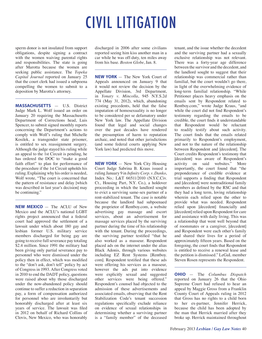# CIVIL LITIGATION

sperm donor is not insulated from support obligations, despite signing a contract with the women waiving parental rights and responsibilities. The state is going after Marotta because the women are seeking public assistance. The *Topeka Capital Journal* reported on January 25 that the court clerk had issued a subpoena compelling the women to submit to a deposition by Marotta's attorney.

**MASSACHUSETTS** — U.S. District Judge Mark L. Wolf issued an order on January 20 requiring the Massachusetts Department of Corrections head, Luis Spencer, to submit signed monthly reports concerning the Department's actions to comply with Wolf's ruling that Michelle Kosilek, a transgender state prisoner, is entitled to sex reassignment surgery. Although the judge stayed his ruling while an appeal to the 1st Circuit is pending, he has ordered the DOC to "make a good faith effort" to plan for performance of the procedure if the 1st Circuit upholds his ruling. Explaining why his order is needed, Wolf wrote, "The court is concerned that the pattern of resistance and delay [which was described in last year's decision] may be continuing."

**NEW MEXICO** — The ACLU of New Mexico and the ACLU's national LGBT rights project announced that a federal court had approved the settlement of a lawsuit under which about 180 gay and lesbian former U.S. military service members discharged for being gay are going to receive full severance pay totaling \$2.4 million. Since 1991 the military had been giving only partial severance pay to personnel who were dismissed under the policy then in effect, which was modified to the "don't ask, don't tell" policy by act of Congress in 1993. After Congress voted in 2010 to end the DADT policy, questions were raised about why those discharged under the now-abandoned policy should continue to suffer a reduction in separation pay, a form of compensation authorized for personnel who are involuntarily but honorably discharged after at least six years of service. The lawsuit was filed in 2012 on behalf of Richard Collins of Clovis, New Mexico, who was honorably

discharged in 2006 after some civilians reported seeing him kiss another man in a car while he was off-duty, ten miles away from his base. *Boston Globe*, Jan. 8.

**NEW YORK** — The New York Court of Appeals announced on January 9 that it would not review the decision by the Appellate Division, 3rd Department, in *Yonaty v. Mincolla*, 945 N.Y.S.2d 774 (May 31, 2012), which, abandoning existing precedents, held that the false imputation of homosexuality is no longer to be considered per se defamatory under New York law. The Appellate Division found that legal and social changes over the past decades have rendered the presumption of harm to reputation archaic, and noted that other jurisdictions (and some federal courts applying New York law) had predicted this move.

**NEW YORK** — New York City Housing Court Judge Sabrina B. Kraus issued a ruling January 9 in *Infinity Corp. v. Danko*, Index No.: L&T 66511/2010 (N.Y.C.Civ. Ct., Housing Part, N.Y. Co.), a holdover proceeding in which the landlord sought to evict a surviving same-sex partner of a rent-stabilized tenant. The case is notable because the landlord had subpoenaed the proprietor of Rentboy.com, a website advertising gay massage and escort services, about an advertisement for massage services placed by the surviving partner during the time of his relationship with the tenant. During the proceedings, the surviving partner testified "that he also worked as a masseur. Respondent placed ads on the internet under the alias Black Adonis, through various websites including EZ Rent Systems [Rentboy. com]. Respondent testified that these ads were offering his services as a masseur, however the ads put into evidence were explicitly sexual and suggested other services were being offered." Respondent's counsel had objected to the admission of these advertisements and associated emails, observing that the Rent Stabilization Code's tenant succession regulations specifically exclude reliance on evidence of sexual relationships in determining whether a surviving partner is a "family member" of the deceased tenant, and the issue whether the decedent and the surviving partner had a sexually exclusive relationship was not relevant. There was a forty-year age difference between the survivor and the decedent, and the landlord sought to suggest that their relationship was commercial rather than familial, but the court wouldn't go there, in light of the overwhelming evidence of long-term familial relationship. "While Petitioner places heavy emphasis on the emails sent by Respondent related to Rentboy.com," wrote Judge Kraus, "and while the court did not find Respondent's testimony regarding the emails to be credible, the court finds it understandable that Respondent would be reluctant to readily testify about such activity. The court finds that the emails related primarily to Respondent's employment, and not to the nature of the relationship between Respondent and [decedent]. The Court credits Respondent's testimony that [decedent] was aware of Respondent's activity on said websites." More importantly, the court found that "the preponderance of credible evidence at trial supports a finding that Respondent and [decedent] were nontraditional family members as defined by the RSC and that they had a long term, loving relationship wherein each relied upon the other to provide what was needed. Respondent relied upon [decedent] financially and [decedent] relied upon Respondent for care and assistance with daily living. This was a relationship that went well beyond that of roommates or a caregiver, [decedent] and Respondent were each other's family and shared their lives for a period of approximately fifteen years. Based on the foregoing, the court finds that Respondent is entitled to receive a renewal lease and the petition is dismissed." LeGaL member Steven Rosen represents the Respondent.

**OHIO** — The *Columbus Dispatch* reported on January 26 that the Ohio Supreme Court had refused to hear an appeal by Maggie Gross from a Franklin County Court of Appeals ruling in 2012 that Gross has no rights to a child born to her ex-partner, Jennifer Herrick, because the child has been adopted by the man that Herrick married after they broke up. Herrick maintained throughout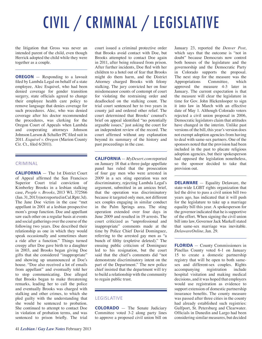# CIVIL / CRIMINAL / LEGISLATIVE

the litigation that Gross was never an intended parent of the child, even though Herrick adopted the child while they were together as a couple.

**OREGON** — Responding to a lawsuit filed by Lambda Legal on behalf of a state employee, Alec Esquivel, who had been denied coverage for gender transition surgery, state officials agreed to change their employee health care policy to remove language that denies coverage for such procedures. Alec, who was denied coverage after his doctor recommended the procedures, was clerking for the Oregon Court of Appeals when Lambda and cooperating attorneys Johnson Johnson Larson & Schaller PC filed suit in 2011. *Esquivel v. Oregon* (Marion County Cir. Ct., filed 6/2011).

#### CRIMINAL

**CALIFORNIA** — The 1st District Court of Appeal affirmed the San Francisco Superior Court trial conviction of Kimberley Brooks in a lesbian stalking case, *People v. Brooks*, 2013 WL 372566 (Jan. 31, 2013) (not reported in Cal.Rptr.3d). The Jane Doe victim in the case "met appellant in 2001 at a lesbian prospective mom's group function. Doe and appellant saw each other on a regular basis at events and social gatherings over the course of the following two years. Doe described their relationship as one in which they would speak occasionally and sometimes share a ride after a function." Things turned creepy after Doe gave birth to a daughter in 2003, and Brooks began giving Doe gifts that she considered "inappropriate" and showing up unannounced at Doe's house. "Doe also received a lot of emails from appellant" and eventually told her to stop communicating. Doe alleged that Brooks began to make threatening remarks, leading her to call the police and eventually Brooks was charged with stalking and other crimes, to which she pled guilty with the understanding that she would be sentenced to probation. She continued to attempt to contact Doe in violation of probation terms, and was sentenced to prison briefly. The trial

court issued a criminal protective order that Brooks avoid contact with Doe, but Brooks attempted to contact Doe again in 2011, after being released from prison. After further incidents, Doe fled with her children to a hotel out of fear that Brooks might do them harm, and the District Attorney charged Brooks with felony stalking. The jury convicted her on four misdemeanor counts of contempt of court for violating the restraining order and deadlocked on the stalking count. The trial court sentenced her to two years in county jail and ordered other relief. The court determined that Brooks' counsel's brief on appeal identified "no potentially arguable issues," just asking the court for an independent review of the record. The court affirmed without any explanation beyond its summary of the history and past proceedings in the case.

**CALIFORNIA** — *MyDesert.com* reported on January 18 that a three-judge appellate panel has ruled that the prosecution of four gay men who were arrested in 2009 in a sex sting operation was not discriminatory, rejecting Lambda Legal's argument, submitted in an amicus brief, that the operation was discriminatory because it targeted only men, not different sex couples engaging in similar conduct in the Palm Springs area. The sting operation extended over four days in June 2009 and resulted in 19 arrests. The court criticized as "unprofessional and inappropriate" comments made at the time by Police Chief David Dominguez, referring to the arrested gay men as "a bunch of filthy (expletive deleted)." The ensuing public criticism of Dominguez led to his resignation, but the court said that the chief's comments did "not demonstrate discriminatory intent on the part of the Department." The new police chief insisted that the department will try to build a relationship with the community to regain public trust.

#### LEGISLATIVE

**COLORADO** — The Senate Judiciary Committee voted 3-2 along party lines to approve a proposed civil union bill on

January 23, reported the *Denver Post*, which says that the outcome is "not in doubt" because Democrats now control both houses of the legislature and the governorship and the Democratic Party in Colorado supports the proposal. The next step for the measure was the Appropriations Committee, which approved the measure 4-3 later in January. The current expectation is that the measure will clear the legislature in time for Gov. John Hickenlooper to sign it into law in March with an effective date of May 1. Although Colorado voters rejected a civil union proposal in 2006, Democratic legislators claim that attitudes have changed in the interim. Unlike past versions of the bill, this year's version does not exempt adoption agencies from having to deal with same-sex partners. One of the sponsors noted that the provision had been included in the past to placate religious adoption agencies, but their spokesperson had opposed the legislation nonetheless, so the sponsor decided to take that provision out.

**DELAWARE** — Equality Delaware, the state-wide LGBT rights organization that led the drive to pass a civil union bill two years ago, has indicated that it will push for the legislature to take up a marriage equality bill this year. A spokesperson for the governor indicated that he is supportive of the effort. When signing the civil union bill into law, Governor Jack Markell stated that same-sex marriage was inevitable. *DelawareOnline*, Jan. 29.

**FLORIDA** — County Commissioners in Pinellas County voted 6-1 on January 15 to create a domestic partnership registry that will be open to both samesex and different-sex couples. Rights<br>accompanying registration include accompanying registration include hospital visitation and making medical decisions, and it was hoped that employers would use registration as evidence to support extension of domestic partnership insurance benefits. The county measure was passed after three cities in the county had already established such registries: Gulfport, St. Petersburg and Clearwater. Officials in Dunedin and Largo had been considering similar measures, but decided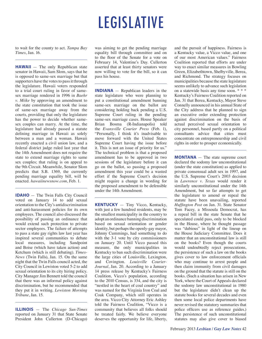# LEGISLATIVE

to wait for the county to act. *Tampa Bay Times*, Jan. 16.

**HAWAII** — The only Republican state senator in Hawaii, Sam Slom, says that he is opposed to same-sex marriage but that supporters have the votes to pass it through the legislature. Hawaii voters responded to a trial court ruling in favor of samesex marriage rendered in 1996 in *Baehr v. Miike* by approving an amendment to the state constitution that took the issue of same-sex marriage away from the courts, providing that only the legislature has the power to decide whether samesex couples can marry. At the time, the legislature had already passed a statute defining marriage in Hawaii as solely between a man and a woman. Hawaii recently enacted a civil union law, and a federal district judge ruled last year that the 14th Amendment does not require the state to extend marriage rights to same sex couples; that ruling is on appeal to the 9th Circuit. Meanwhile, Senator Slom predicts that S.B. 1369, the currently pending marriage equality bill, will be enacted. *hawaiinewsnow.com*, Feb. 1.

**IDAHO** — The Twin Falls City Council voted on January 14 to add sexual orientation to the City's antidiscrimination and anti-harassment policies for its own employees. The council also discussed the possibility of passing an ordinance that would extend such protection to private sector employees. The failure of attempts to pass a state gay rights law last year has inspired several communities to debate local measures, including Sandpoint and Boise (which have taken action) and Ketchum (which is still debating). *Times-News* (Twin Falls), Jan. 15. On the same night that the Twin Falls council acted, the City Council in Lewiston voted 5-2 to add sexual orientation to its city hiring policy. City Manager Jim Bennett told the council that there was an informal policy against discrimination, but he recommended that they put it in writing. *Lewiston Morning Tribune*, Jan. 15.

**ILLINOIS** — The *Chicago Sun-Times* reported on January 31 that State Senate President John Cullerton (D-Chicago)

was aiming to get the pending marriage equality bill through committee and on to the floor of the Senate for a vote on February 14, Valentine's Day. Cullerton asserted that at least thirty senators were now willing to vote for the bill, so it can pass his house.

**INDIANA** — Republican leaders in the state legislature who were planning to put a constitutional amendment banning same-sex marriage on the ballot are considering holding back pending a U.S. Supreme Court ruling in the pending same-sex marriage cases. House Speaker Brian Bosma (R-Indianapolis) told the *Evansville Courier Press* (Feb. 1), "Personally, I think it's inadvisable to move forward with the United States Supreme Court having the issue before it. This is not an issue of priority for us." The technical problem is that a proposed amendment has to be approved in two sessions of the legislature before it can go on the ballot, so passing a proposed amendment this year could be a wasted effort if the Supreme Court's decision might require a change in wording for the proposed amendment to be defensible under the 14th Amendment.

**KENTUCKY** — Tiny Vicco, Kentucky, with just a few hundred residents, may be the smallest municipality in the country to adopt an ordinance banning discrimination based on sexual orientation or gender identity, but perhaps the openly-gay mayor, Johnny Cummings, had something to do with the 3-1 vote by city commissioners on January 20. Until Vicco passed this measure, the only municipalities in Kentucky to ban such discrimination were the large cities of Louisville, Lexington, and Covington. *Louisville Courier-Journal*, Jan. 20. According to a January 14 press release by Kentucky's Fairness Coalition, Vicco's population, according to the 2010 Census, is 334, and the city is "nestled in the heart of coal country" and was named for the Virginia Iron Coal and Coak Company, which still operates in the area. Vicco City Attorney Eric Ashley told the Fairness Coalition, "Vicco is a community that believes all folks should be treated fairly. We believe everyone deserves the opportunity for life, liberty, and the pursuit of happiness. Fairness is a Kentucky value, a Vicco value, and one of our most American values." Fairness Coalition reported that efforts are under way to enact similar measures in Bowling Green, Elizabethtown, Shelbyville, Berea, and Richmond. The strategy focuses on municipalities because the state legislature seems unlikely to advance such legislation on a statewide basis any time soon. \* \* \* Kentucky's Fairness Coalition reported on Jan. 31 that Berea, Kentucky, Mayor Steve Connelly announced in his annual State of the City address that he planned to sign an executive order extending protection against discrimination on the basis of actual perceived sexual orientation to city personnel, based partly on a political consultants advice that cities must concentrate on entrepreneurship and civil rights in order to prosper economically.

**MONTANA** — The state supreme court declared the sodomy law unconstitutional (under the state constitution) as applied to private consensual adult sex in 1997, and the U.S. Supreme Court's 2003 decision in *Lawrence v. Texas* would render it similarly unconstitutional under the 14th Amendment, but so far attempts to get the legislature to amend or repeal the statute have been unavailing, reported *Huffington Post* on Jan. 31. State Senator Tom Facey, a Missoula Democrat, has a repeal bill in the state Senate that he speculated could pass, only to be blocked in the House, where he thought passage was "dubious" in light of the lineup on the House Judiciary Committee. Does it matter that an unconstitutional law is still on the books? Even though the courts would undoubtedly reject prosecutions, the persistence of such a law on the books gives cover to law enforcement officials who may continue to arrest people and then claim immunity from civil damages on the ground that the statute is still on the books. (Such a situation has arisen in New York, where the Court of Appeals declared the sodomy law unconstitutional in 1980 but the legislature didn't clean up the statute books for several decades and even then some local police departments have never revised the statutory summaries that police officers use as reference guides.) The persistence of such unconstitutional statutes may also give cover to biased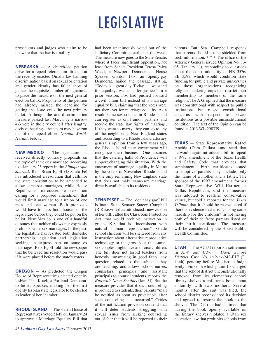# LEGISLATIVE

prosecutors and judges who claim to be unaware that the law is a nullity.

**NEBRASKA** — A church-led petition drive for a repeal referendum directed at the recently-enacted Omaha law banning discrimination based on sexual orientation and gender identity has fallen short of gather the requisite number of signatures to place the measure on the next general election ballot. Proponents of the petition had already missed the deadline for getting the issue onto the next primary ballot. Although the anti-discrimination measure passed last March by a narrow 4-3 vote in the city council after lengthy, divisive hearings, the steam may have run out of the repeal effort. *Omaha World-Herald*, Feb. 1.

**NEW MEXICO** — The legislature has received directly contrary proposals on the topic of same-sex marriage, according to a January 23 report in the *Albuquerque Journal*. Rep. Brian Egolf (D-Santa Fe) has introduced a resolution that calls for the state constitution to be amended to allow same-sex marriages, while House Republicans introduced a resolution calling for a proposed amendment that would limit marriage to a union of one man and one woman. Both proposals would have to pass both houses of the legislature before they could be put on the ballot. New Mexico is one of a handful of states that neither allows nor expressly prohibits same-sex marriages. In the past, the legislature has resisted both domestic partnership legislation and legislation seeking an express ban on same-sex marriages. Rep. Egolf told the newspaper that he believed his resolution would pass if it were placed before the state's voters.

**OREGON** — As predicted, the Oregon House of Representatives elected openlylesbian Tina Kotek, a Portland Democrat, to be its Speaker, making her the first openly lesbian state legislator to be elected as leader of her chamber.

**RHODE ISLAND** — The state's House of Representatives voted 51-19 on January 24 to approve a Marriage Equality Bill that

had been unanimously voted out of the Judiciary Committee earlier in the week. The measure now goes to the State Senate, where it faces significant opposition, not least from Senate President Teresa Paiva Weed, a Newport Democrat. House Speaker Gordon Fox, an openly-gay Democrat, hailed the passage, stating, "Today is a great day. Today . . . we stand for equality; we stand for justice." In a prior session, Fox had pushed forward a civil union bill instead of a marriage equality bill, claiming that the votes were not there yet for marriage equality. As a result, same-sex couples in Rhode Island can register as civil union partners and receive the state law rights of marriage. If they want to marry, they can go to any of the neighboring New England states and, according to a Rhode Island attorney general's opinion from a few years ago, the Rhode Island state government will recognize their business. One assumes that the catering halls of Providence will support changing this situation. With the enactment of marriage equality in Maine by the voters in November, Rhode Island is the only remaining New England state that does not make same-sex marriage directly available to its residents.

**TENNESSEE** — The "don't say gay" bill is back. State Senator Stacey Campbell (R-Knoxville) has introduced a new version of her bill, called the Classroom Protection Act, that would prohibit instruction in grades K-8 that is "inconsistent with natural human reproduction." Grade school children will be sheltered from any instruction about alternative reproductive technology or the gross idea that samesex couples might have and raise children. The bill does not forbid teachers from honestly "answering in good faith" any question related to the subjects they are teaching, and allows school nurses, counselors, principals and assistant principals to counsel students, reports the *Knoxville News-Sentinel* (Jan. 31). But the measure provides that if such counseling is provided to students, their parents "shall be notified as soon as practicable after such counseling has occurred." Critics of the notification provision contend that it will deter students struggling with sexual issues from seeking counseling out of fear that it will be reported to their parents. But Sen. Campbell responds that parents should not be shielded from such information. \* \* \* The office of the Attorney General issued Opinion No. 13- 05 (January 11), responding to questions about the constitutionality of HB 3576/ SB 3597, which would condition state funding for public and private universities on those organizations recognizing religious student groups that restrict their membership to members of the same religion. The A.G. opined that the measure was constitutional with respect to public institutions but raised constitutional concerns with respect to private institutions as a possible unconstitutional condition. The text of the Opinion can be found at 2013 WL 298339.

**TEXAS** — State Representative Rafael Anchia (Dem.-Dallas) announced that he would again introduce a bill to repeal a 1997 amendment of the Texas Health and Safety Code that provides that supplemental birth certificates issued to adoptive parents may include only the name of a mother and a father. The sponsor of the 1997 amendment, former State Representative Will Hartnett, a Dallas Republican, said the measure was adopted to reaffirm conservative values, but told a reporter for the *Texas Tribune* that it should be re-evaluated if there is evidence that it is "causing some hardship for the children" in not having both of their de facto parents listed on their birth certificate. The measure will be considered by the House Public Health Committee.

**UTAH** — The ACLU reports a settlement in *A.W. and C.W. v. Davis School District*, Case No. 1:12-cv-242-EJF (D. Utah), pending before Magistrate Judge Evelyn Furse, in which plaintiffs charged that the school district unconstitutionally removed from its elementary school library shelves a children's book about a family with two mothers. Several months after the suit was filed, the school district reconsidered its decision and agreed to restore the book to the shelves. The District had claimed that having the book openly available on the library shelves violated a Utah sex education law that prohibits schools from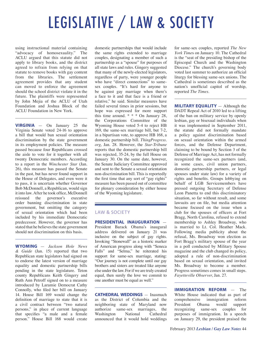# LEGISLATIVE / LAW & SOCIETY

using instructional material containing "advocacy of homosexuality." The ACLU argued that this statute did not apply to library books, and the district agreed to refrain from relying on that statute to remove books with gay content from the libraries. The settlement agreement provides that any student can moved to enforce the agreement should the school district violate it in the future. The plaintiffs were represented by John Mejia of the ACLU of Utah Foundation and Joshua Block of the ACLU Foundation in New York.

**VIRGINIA** — On January 25 the Virginia Senate voted 24-16 to approve a bill that would ban sexual orientation discrimination by the state government in its employment policies. The measure passed because four Republicans crossed the aisle to vote for it together with all twenty Democratic members. According to a report in the *Winchester Star* (Jan. 26), this measure has passed the Senate in the past, but has never found support in the House of Delegates, and even were it to pass, it is uncertain whether Governor Bob McDonnell, a Republican, would sign it into law. After he took office, McDonnell<br>reissued the governor's executive reissued the governor's executive order banning discrimination in state government, but omitting the category of sexual orientation which had been included by his immediate Democratic predecessor. However, the governor has stated that he believes the state government should not discrimination on this basis.

**WYOMING** — *Jackson Hole News & Guide* (Jan. 15) reported that two Republican state legislators had signed on to endorse the latest version of marriage equality and domestic partnership bills pending in the state legislature. Teton county Republicans Keith Gingery and Ruth Ann Petroff signed on to a measure introduced by Laramie Democrat Cathy Connolly, who filed her bill on January 14. House Bill 169 would change the definition of marriage to state that it is a civil contract between "two natural persons," in place of current language that specifies "a male and a female person." House Bill 168 would create

domestic partnerships that would include the same rights extended to marriage couples, designating a member of such a partnership as a "spouse" for purposes of all state laws and rules. Gingery suggested that many of the newly-elected legislators, regardless of party, were younger people who have "direct connections" to samesex couples. "It's hard for anyone to be against gay marriage when there's a face to it and that face is a friend or relative," he said. Similar measures have failed several times in prior sessions, but hope was expressed for more support this time around. \* \* \* On January 28, the Corporations Committee of the Wyoming House voted 5-4 to reject HB 169, the same-sex marriage bill, but 7-2, in a bipartisan vote, to approve HB 168, a domestic partnership bill. *ThingProgress. org*, Jan. 28. However, the *Star-Tribune* reports that the domestic partnership bill was rejected, 35-24, by the full House on January 30. On the same date, however, the Senate Judiciary Committee approved and sent to the Senate a sexual orientation non-discrimination bill. This is reportedly the first time that any sort of "gay rights" measure has been passed out of committee for plenary consideration by either house of the Wyoming legislature.

#### LAW & SOCIETY

**PRESIDENTIAL INAUGURATION** — President Barack Obama's inaugural address delivered on January 21 was inclusive on the subject of gay rights. Invoking "Stonewall" as a historic marker of American progress along with "Seneca Falls" and "Selma," he reiterated his support for same-sex marriage, stating: "Our journey is not complete until our gay brothers and sisters are treated like anyone else under the law. For if we are truly created equal, then surely the love we commit to one another must be equal as well."

**CATHEDRAL WEDDINGS** — Inasmuch as the District of Columbia and the neighboring state of Maryland now authorize same-sex marriages, the Washington National Cathedral announced that it would hold weddings for same-sex couples, reported *The New York Time*s on January 10. The Cathedral is the "seat of the presiding bishop of the Episcopal Church and the Washington Diocese." The church's governing body voted last summer to authorize an official liturgy for blessing same-sex unions. The Cathedral is sometimes described as the nation's unofficial capitol of worship, reported *The Times*.

**MILITARY EQUALITY** — Although the DADT Repeal Act of 2010 led to a lifting of the ban on military service by openly lesbian, gay or bisexual individuals when it was implemented in September 2011, the statute did not formally mandate a policy against discrimination based on sexual orientation within the armed forces, and the Defense Department, claiming to be bound by Section 3 of the Defense of Marriage Act, has not formally recognized the same-sex partners (and, in some cases, civil union partners, domestic partnership partners, or legal spouses under state law) for a variety of rights and benefits. Groups lobbying on behalf of LGB Servicemembers have pressed outgoing Secretary of Defense Leon Panetta to end this discriminatory situation, so far without result, and some lawsuits are on file, but media attention became focused on the issue when a club for the spouses of officers at Fort Bragg, North Carolina, refused to extend membership to Ashley Broadway, who is married to Lt. Col. Heather Mack. Following media publicity about the refusal, Ms. Broadway won election as Fort Bragg's military spouse of the year in a poll conducted by Military Spouse magazine and the club changed its policy, adopted a rule of non-discrimination based on sexual orientation, and invited Ms. Broadway to become a member. Progress sometimes comes in small steps. *Fayetteville Observer*, Jan. 27.

**IMMIGRATION REFORM** — The White House indicated that as part of comprehensive immigration reform<br>President Obama would support President Obama would support recognizing same-sex couples for purposes of immigration. In a speech on January 29, the president praised the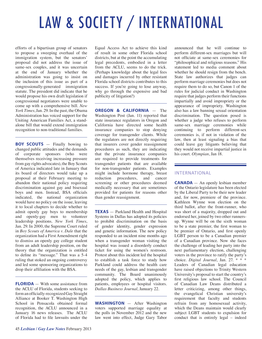# LAW & SOCIETY / INTERNATIONAL

efforts of a bipartisan group of senators to propose a sweeping overhaul of the immigration system, but the senators' proposal did not address the issue of same-sex couples, and it was uncertain at the end of January whether the administration was going to insist on the inclusion of this issue as part of a congressionally-generated immigration statute. The president did indicate that he would propose his own draft legislation if congressional negotiators were unable to come up with a comprehensive bill. *New York Times*, Jan. 29. In the past, the Obama Administration has voiced support for the Uniting American Families Act, a standalone bill that would extend immigration recognition to non-traditional families.

**BOY SCOUTS** — Finally bowing to changed public attitudes and the demands of corporate sponsors (who were themselves receiving increasing pressure from gay rights advocates), the Boy Scouts of America indicated late in January that its board of directors would take up a proposal at their February meeting to abandon their national policy requiring discrimination against gay and bisexual boys and men. Instead, BSA officials indicated, the national organization would have no policy on the issue, leaving it to local chapters to decide whether to admit openly gay boys to membership and openly-gay men to volunteer leadership positions. *New York Times*, Jan. 29. In 2000, the Supreme Court ruled in *Boy Scouts of America v. Dale* that the organization had a First Amendment right to dismiss an openly gay college student from an adult leadership position, on the theory that the organization is entitled to define its "message." That was a 5-4 ruling that stoked an ongoing controversy and led some sponsoring organizations to drop their affiliation with the BSA.

**FLORIDA** — With some assistance from the ACLU of Florida, students seeking to form an officially-recognized Gay Straight Alliance at Booker T. Washington High School in Pensacola obtained formal recognition, the ACLU announced in a January 16 news releases. The ACLU of Florida had to file lawsuits under the

Equal Access Act to achieve this kind of result in some other Florida school districts, but at the point the accumulating legal precedents, embodied in a letter from the ACLU, seems to do the trick. (Perhaps knowledge about the legal fees and damages incurred by other resistant Florida school districts contributes to this success. If you're going to lose anyway, why go through the expensive and bad publicity of litigation?)

**OREGON & CALIFORNIA** — The Washington Post (Jan. 11) reported that state insurance regulators in Oregon and California have directed some health insurance companies to stop denying coverage for transgender clients. While the regulators are not directly requiring that insurers cover gender reassignment procedures as such, they are indicating that the private insurance companies are required to provide treatments for transgender patients that are available for non-transgender patients. Examples might include hormone therapy, breast reduction procedures, and cancer screening or other procedures deemed medically necessary that are sometimes provided for patients for reasons other than gender reassignment.

**TEXAS** — Parkland Health and Hospital Systems in Dallas has adopted its policies to prohibit discrimination on the basis of gender identity, gender expression and genetic information. The new policy responded to an incident nine months ago when a transgender woman visiting the hospital was issued a disorderly conduct ticket for using the women's restroom. Protest about this incident led the hospital to establish a task force to study how Parkland could address the health care needs of the gay, lesbian and transgender community. The Board unanimously adopted the policy, which applies to patients, employees or hospital visitors. *Dallas Business Journal*, January 22.

**WASHINGTON** — After Washington voters supported marriage equality at the polls in November 2012 and the new law went into effect, Judge Gary Tabor announced that he will continue to perform different-sex marriages but will not officiate at same-sex ceremonies for "philosophical and religious reasons." His statement led to media comment about whether he should resign from the bench. State law authorizes that judges can perform marriage ceremonies but does not require them to do so, but Canon 1 of the rules for judicial conduct in Washington require that judges perform their functions impartially and avoid impropriety or the appearance of impropriety. Washington also has a law banning sexual orientation discrimination. The question posed is whether a judge who refuses to perform same-sex marriage ceremonies while continuing to perform different-sex ceremonies is, if not in violation of the law, then at least signaling a bias that could leave gay litigants believing that they would not receive impartial justice in his court. *Olympian*, Jan 18.

#### INTERNATIONAL

**CANADA** — An openly lesbian member of the Ontario legislature has been elected by the Liberal Party to be their new leader and, for now, premiere of the province. Kathleen Wynne won election on the third ballot, after the front-runner, who was short of a majority, dropped out and endorsed her, joined by two other runnersup. Wynne will be on the sixth woman to be a state premier, the first woman to be premier of Ontario, and first openly LGBT person to be a Canadian premier of a Canadian province. Now she faces the challenge of leading her party into the next parliamentary election, challenging voters in the province to ratify the party's choice. *Digital Journal*, Jan. 27. \* \* \* Leaders of Canadian legal education have raised objections to Trinity Western University's proposal to start the country's first religious law school. The Council of Canadian Law Deans distributed a letter criticizing, among other things, the evangelical Christian university's requirement that faculty and students refrain from any homosexual activity, which the Deans maintain would clearly subject LGBT students to expulsion for conduct that is entirely legal – indeed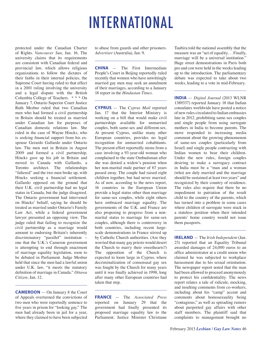# INTERNATIONAL

protected under the Canadian Charter of Rights. *Vancouver Sun*, Jan. 16. The university claims that its requirements are consistent with Canadian federal and provincial law, which allows religious organizations to follow the dictates of their faiths in their internal policies, the Supreme Court having ruled to that effect in a 2001 ruling involving the university and a legal dispute with the British Columbia College of Teachers. \* \* \* On January 7, Ontario Superior Court Justice Ruth Mesbur ruled that two Canadian men who had formed a civil partnership in Britain should be treated as married under Canadian law for purposes of Canadian domestic relations law. She ruled in the case of Wayne Hincks, who is seeking financial support from his exspouse Gerardo Gallardo under Ontario law. The men met in Britain in August 2009 and formed a civil partnership. Hincks gave up his job in Britain and moved to Canada with Gallardo, a Toronto architect. The relationships "faltered" and the two men broke up, with Hincks seeking a financial settlement. Gallardo opposed on the ground that their U.K. civil partnership had no legal status in Canada, but the judge disagreed. The Ontario government had intervened on Hincks' behalf, saying he should be treated as married under Ontario's Family Law Act, while a federal government lawyer presented an opposing view. The judge ruled that failing to recognize the civil partnership as a marriage would amount to endorsing Britain's inherently discriminatory "parallel" institution – one that the U.K.'s Cameron government is attempting to end through enactment of marriage equality legislation, soon to be debated in Parliament. Judge Mesbur held that since the men had a lawful union under U.K. law, "it meets the statutory definition of marriage in Canada." *Ottawa Citizen*, Jan. 12.

**CAMEROON** — On January 8 the Court of Appeals overturned the convictions of two men who were reportedly sentence to five years in prison for "looking gay." The men had already been in jail for a year, where they claimed to have been subjected

to abuse from guards and other prisoners. *Advertiser* (Australia), Jan. 9.

**CHINA** — The First Intermediate People's Court in Beijing reportedly ruled recently that women who have unwittingly married gay men may seek an annulment of their marriages, according to a January 18 report in the *Hindustan Times*.

**CYPRUS** — The *Cyprus Mail* reported Jan. 17 that the Interior Ministry is working on a bill that would make civil partnerships available for unmarried couples, both same-sex and different-sex. At present Cyprus, unlike many other European countries, provides no legal recognition for unmarried cohabitants. The present effort reportedly stems from a case involving a 93-year-old woman who complained to the state Ombudsman after she was denied a widow's pension when her non-marital male partner of 67 years passed away. The couple had raised eight children together, but had never married. As of now, according to the news report, 16 countries in the European Union provide a legal status other than marriage for same-sex couples, while eight others have embraced marriage equality. The governments of the U.K. and France are also proposing to progress from a nonmarital status to marriage for same-sex couples, although there is controversy in both countries, including recent largescale demonstrations in France stirred up by Catholic Church authorities. (Are they worried that many gay priests would desert the Church to marry their sweethearts?) The opposition of the Church is expected to loom large in Cyprus, where decriminalization of consensual gay sex was fought by the Church for many years until it was finally achieved in 1998, long after many other European countries had taken that step.

**FRANCE** — The *Associated Press* reported on January 29 that the government had finally presented its proposed marriage equality law to the Parliament. Justice Minister Christiane

Taubira told the national assembly that the measure was an "act of equality. . . Finally, marriage will be a universal institution." Huge street demonstrations in Paris both pro and con were held in the weeks leading up to the introduction. The parliamentary debate was expected to take about two weeks, leading to a vote in mid-February.

**INDIA** — *Digital Journal* (2013 WLNR 1389337) reported January 18 that Indian consulates worldwide have posted a notice of new rules circulated to Indian embassies late in 2012, prohibiting same-sex couples and single people from using surrogate mothers in India to become parents. The move responded to increasing media comment about the growing phenomenon of same-sex couples (particularly from Israel) and single people contracting with Indian women to bear their children. Under the new rules, foreign couples desiring to make a surrogacy contract in India must be a "man and a woman (who) are duly married and the marriage should be sustained at least two years" and recognized by their country of residence. The rules also require that there be no impediment to patriation of the result child to the country of the parents, which has turned into a problem in some cases where children of surrogate were stuck in a stateless position when their intended parents' home country would not issue them passports.

**IRELAND** — The *Irish Independent* (Jan. 23) reported that an Equality Tribunal awarded damages of 24,000 euros to an office administrator at a credit union who claimed he was subjected to workplace harassment due to his sexual orientation. The newspaper report noted that the man had been allowed to proceed anonymously to protect his confidentiality. The news report relates a tale of ridicule, mocking, and insulting comments from co-workers, including about his "camp" accent and comments about homosexuality being "contagious," as well as spreading rumors about purported gay affairs with other staff members. The plaintiff said that complaints to management brought no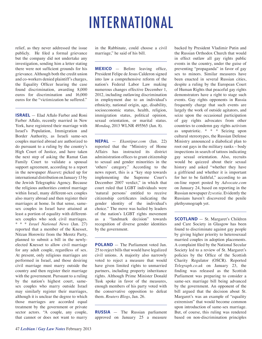# INTERNATIONAL

relief, as they never addressed the issue publicly. He filed a formal grievance but the company did not undertake any investigation, sending him a letter stating there were not sufficient grounds for his grievance. Although both the credit union and co-workers denied plaintiff's charges, the Equality Officer hearing the case found discrimination, awarding 8,000 euros for discrimination and 16,000 euros for the "victimization he suffered."

**ISRAEL** — Elad Aflalo Farber and Roni Farber Aflalo, recently married in New York, have registered their marriage with Israel's Population, Immigration and Border Authority, as Israeli same-sex couples married abroad are authorized to do pursuant to a ruling by the country's High Court of Justice, and have taken the next step of asking the Ramat Gan Family Court to validate a spousal support agreement, according to a report in the newspaper *Haaretz* picked up for international distribution on January 13 by the Jewish Telegraphic Agency. Because the religious authorities control marriage within Israel, many different-sex couples also marry abroad and then register their marriages at home. In that sense, samesex couples in Israel have attained at least a portion of equality with differentsex couples who seek civil marriages. \* \* \* *Israel National News* (Jan. 27) reported that a member of the Knesset, Nitzan Horowitz from the Meretz Party, planned to submit a bill in the newlyelected Knesset to allow civil marriage for any adult couple, regardless of sex. At present, only religious marriages are performed in Israel, and those desiring civil marriage must marry outside the country and then register their marriage with the government. Pursuant to a ruling by the nation's highest court, samesex couples who marry outside Israel may similarly register their marriages, although it is unclear the degree to which those marriages are accorded equal treatment by the government or private sector actors. "A couple, any couple, that cannot or does not want to marry

in the Rabbinate, could choose a civil marriage," he said of his bill.

**MEXICO** — Before leaving office, President Felipe de Jesus Calderon signed into law a comprehensive reform of the nation's Federal Labor Law making numerous changes effective December 1, 2012, including outlawing discrimination in employment due to an individual's ethnicity, national origin, age, disability, socioeconomic status, health, religion, immigration status, political opinion, sexual orientation, or marital status. *Mondaq*, 2013 WLNR 495565 (Jan. 8).

**NEPAL** — *Ekantipur.com* (Jan. 22) reported that the "Ministry of Home Affairs has instructed its district administration offices to grant citizenship to sexual and gender minorities in the 'others' category." According to the news report, this is a "key step towards implementing the Supreme Court's December 2007 verdict," in which that court ruled that LGBT individuals were 'natural persons' entitled to receive citizenship certificates indicating the gender identity of the individual's choice." The move was hailed by leaders of the nation's LGBT rights movement as a "landmark decision" towards recognition of diverse gender identities by the government.

**POLAND** — The Parliament voted Jan. 25 to reject bills that would have legalized civil unions. A majority also narrowly voted to reject a measure that would have given limited rights to unmarried partners, including property inheritance rights. Although Prime Minister Donald Tusk spoke in favor of the measures, enough members of his party voted with the conservative opposition to defeat them. *Reuters Blogs*, Jan. 26.

**RUSSIA** — The Russian parliament approved on January 25 a measure backed by President Vladimir Putin and the Russian Orthodox Church that would in effect outlaw all gay rights public events in the country, under the guise of preventing "propaganda" in favor of gay sex to minors. Similar measures have been enacted in several Russian cities, despite a ruling by the European Court of Human Rights that peaceful gay rights demonstrators have a right to stage such events. Gay rights opponents in Russia frequently charge that such events are largely the work of outside agitators, and seize upon the occasional participation of gay rights advocates from other countries to condemn gay rights activism as unpatriotic. \* \* \* Seizing upon cultural stereotypes, the Russian Defense Ministry announced a diabolical plan to root out gays in the military ranks – body inspections in search of tattoos indicating gay sexual orientation. Also, recruits would be quizzed about their sexual history and asked "whether they have a girlfriend and whether it is important for her to be faithful," according to an on-line report posted by *Advocate.com* on January 24, based on reporting in the Russian newspaper *Izvestia*. Evidently the Russians haven't discovered the penile plethysmograph yet.

**SCOTLAND** - St. Margaret's Children and Care Society in Glasgow has been found to discriminate against gay people by giving higher priority to heterosexual married couples in adoption placements. A complaint filed by the National Secular Society led to a review of St. Margaret's policies by the Office of the Scottish Charity Regulator (OSCR). Reported *Telegraph.co.uk* on January 23, the finding was released as the Scottish Parliament was preparing to consider a same-sex marriage bill being advanced by the government. An opponent of the bill argued that the decision about St. Margaret's was an example of "equality extremism" that would become common upon introduction of same-sex marriage. But, of course, this ruling was rendered based on non-discrimination principles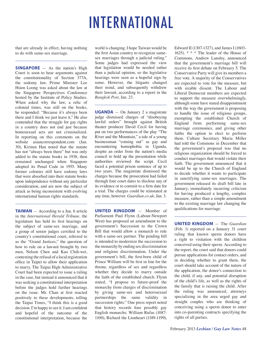## INTERNATIONAL

that are already in effect, having nothing to do with same-sex marriage.

**SINGAPORE** — As the nation's High Court is soon to hear arguments against the constitutionality of Section 377A, the sodomy law, Prime Minister Lee Hsien Loong was asked about the law at the Singapore Perspectives Conference hosted by the Institute of Policy Studies. When asked why the law, a relic of colonial times, was still on the books, he responded: "Because it's always been there and I think we just leave it." He also contended that the struggle for gay rights in a country does not end just because homosexual acts are not criminalized. In reporting on this comments on the website asiancorrespondent.com (Jan. 30), Kirsten Han noted that the statute has not "always been there" but was only added to the statute books in 1938, then remained unchanged when Singapore adopted its Penal Code in 1955. Many former colonies still have sodomy laws that were absorbed into their statute books upon independence without any particular consideration, and are now the subject of attack as being inconsistent with evolving international human rights standards.

**TAIWAN** — According to a Jan. 6 article in the *International Herald Tribune*, the legislature has held its first hearings on the subject of same-sex marriage, and a group of senior judges certified to the country's constitutional court, referred to as the "Grand Justices," the question of how to rule on a lawsuit brought by two men, Nelson Chen and Kao Chih-wei, contesting the refusal of a local registration office in Taipei to allow their application to marry. The Taipai High Administrative Court had been expected to issue a ruling in the case, but instead it announced that it was seeking a constitutional interpretation before the judges hold further hearings on the issue. Mr. Chan at first reacted positively to these developments, telling the Taipai Times, "I think this is a good decision. I'm happy to see it. I am confident and hopeful of the outcome of the constitutional interpretation, because the

world is changing. I hope Taiwan would be the first Asian country to recognize samesex marriages through a judicial ruling." Some judges had expressed the view that legislation would be needed rather than a judicial opinion, so the legislative hearings were seen as a hopeful sign by some. However, the litigants changed their mind, and subsequently withdrew their lawsuit, according to a report in the *Bangkok Post*, Jan. 23.

**UGANDA** — On January 2 a magistrate judge dismissed charges of "disobeying lawful orders" brought against British theater producer David Cecil for having put on two performances of the play "The River and the Mountain," a tale of a young businessman "coming out" as gay and encountering homophobia in Uganda, despite an order from the nation's media council to hold up the presentation while authorities reviewed the script. Cecil faced a potential prison sentence of up to two years. The magistrate dismissed the charges because the prosecution had failed through four court dates to disclose any of its evidence or to commit to a firm date for a trial. The charges could be reinstated at any time, however. *Guardian.co.uk*, Jan. 3.

**UNITED KINGDOM** — Member of Parliament Paul Flynn (Labour-Newport West) has proposed an amendment to the government's Succession to the Crown Bill that would allow a monarch to rule with a same-sex partner. The pending bill is intended to modernize the succession to the monarchy by ending sex discrimination and religious discrimination. Under the government's bill, the first-born child of Prince William will be first in line for the throne, regardless of sex and regardless whether they decide to marry outside the faith of the established church. Flynn stated, "I propose to future-proof the monarchy from charges of discrimination by giving same-sex and heterosexual partnerships the same validity in succession rights." One press report noted that history records four possibly gay English monarchs: William Rufus (1087- 1100), Richard the Lionheart (1189-1199), Edward II (1307-1327), and James I (1603- 1625). \* \* \* The leader of the House of Commons, Andrew Lansley, announced that the government's marriage bill will receive its first debate on February 5. The Conservative Party will give its members a free vote. A majority of the Conservatives are expected to vote for the measure, but with sizable dissent. The Labour and Liberal Democrat members are expected to support the measure overwhelmingly, although some have stated disappointment with the way the government is proposing to handle the issue of religious groups, exempting the established Church of England from performing same-sex marriage ceremonies, and giving other faiths the option to elect to perform them. Culture Secretary Maria Miller had told the Commons in December that the government's proposal was that no religious organization should be forced to conduct marriages that would violate their faith. The government announced that it would be up to the Church of England to decide whether it wants to participate in sanctifying same-sex marriages. The government released its draft bill late in January, immediately incurring criticism for having produced a lengthy, complex measure, rather than a simple amendment to the existing marriage law changing the qualifications for marriage.

**UNITED KINGDOM** — The *Guardian* (Feb. 1) reported on a January 31 court ruling that known sperm donors have a right to visitation with the children conceived using their sperm. According to the report, the court said that donors could pursue applications for contact orders, and in deciding whether to grant them, the court should take account of the nature of the application, the donor's connection to the child, if any, and potential disruption of the child's life, as well as the rights of the family that is raising the child. After the ruling was announced, attorneys specializing in the area urged gay and straight couples who are thinking of conceiving using a sperm donor to enter into co-parenting contracts specifying the rights of all parties.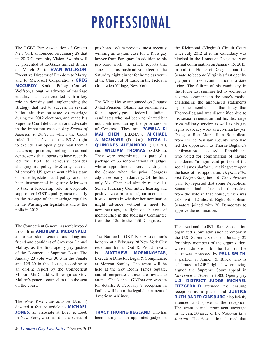### PROFESSIONAL

The LGBT Bar Association of Greater New York announced on January 28 that its 2013 Community Vision Awards will be presented at LeGaL's annual dinner on March 21 to **EVAN WOLFSON**, Executive Director of Freedom to Marry, and to Microsoft Corporation's **GREG MCCURDY**, Senior Policy Counsel. Wolfson, a longtime advocate of marriage equality, has been credited with a key role in devising and implementing the strategy that led to success in several ballot initiatives on same-sex marriage during the 2012 elections, and made his Supreme Court debut as an oral advocate in the important case of *Boy Scouts of America v. Dale*, in which the Court ruled 5-4 in favor of the BSA's right to exclude any openly gay man from a leadership position, fueling a national controversy that appears to have recently led the BSA to seriously consider changing its policy. McCurdy advises Microsoft's US government affairs team on state legislation and policy, and has been instrumental in getting Microsoft to take a leadership role in corporate support for LGBT equality, most recently in the passage of the marriage equality in the Washington legislature and at the polls in 2012.

The Connecticut General Assembly voted to confirm **ANDREW J. MCDONALD**, a former state senator and longtime friend and confidant of Governor Dannel Malloy, as the first openly-gay justice of the Connecticut Supreme Court. The January 23 vote was 30-3 in the Senate and 125-20 in the House, according to an on-line report by the Connecticut Mirror. McDonald will resign as Gov. Malloy's general counsel to take the seat on the court.

The *New York Law Journal* (Jan. 4) devoted a feature article to **MICHAEL JONES**, an associate at Loeb & Loeb in New York, who has done a series of pro bono asylum projects, most recently winning an asylum case for C.R., a gay lawyer from Paraguay. In addition to his pro bono work, the article reports that Jones and his husband volunteer at the Saturday night dinner for homeless youth at the Church of St. Luke in the Fields in Greenwich Village, New York.

The White House announced on January 3 that President Obama has renominated four openly-gay federal judicial candidates who had been nominated but not confirmed during the prior session of Congress. They are: **PAMELA KI MAI CHEN** (E.D.N.Y.), **MICHAEL J. MCSHANE** (D. Or.), **NITZA I. QUINONES ALEJANDRO** (E.D.Pa.), and **WILLIAM THOMAS** (S.D.Fla.). They were renominated as part of a package of 33 renominations of judges whose appointments were pending in the Senate when the prior Congress adjourned early in January. Of the four, only Ms. Chen had already received a Senate Judiciary Committee hearing and positive vote prior to adjournment, and it was uncertain whether her nomination might advance without a need for new hearings, in light of changes of membership in the Judiciary Committee from the 112th to the 113th Congress.

The National LGBT Bar Association's honoree at a February 28 New York City reception for its Out & Proud Award is **MATTHEW MORNINGSTAR**, Executive Director, Legal & Compliance, at Morgan Stanley. The event will be held at the Sky Room Times Square, and all corporate counsel are invited to attend. Check the LGBTbar.org website for details. A February 7 reception in Dallas will honor the legal department of American Airlines.

**TRACY THORNE-BEGLAND**, who has been sitting as an appointed judge on the Richmond (Virginia) Circuit Court since July 2012 after his candidacy was blocked in the House of Delegates, won formal confirmation on January 15, 2013, in both the House of Delegates and the Senate, to become Virginia's first openlygay person to win confirmation as a state judge. The failure of his candidacy in the House last summer led to vociferous adverse comments in the state's media, challenging the announced statements by some members of that body that Thorne-Begland was disqualified due to his sexual orientation and his discharge from military service as well as his gay rights advocacy work as a civilian lawyer. Delegate Bob Marshall, a Republican from Prince William County who had led the opposition to Thorne-Begland's confirmation, accused Republicans who voted for confirmation of having abandoned "a significant portion of the social issues platform," making very open the basis of his opposition. *Virginia Pilot and Ledger-Star*, Jan. 16. *The Advocate* (Jan. 16) reported that some Republican Senators had absented themselves from the vote in that house, which was 28-0 with 12 absent. Eight Republican Senators joined with 20 Democrats to approve the nomination.

The National LGBT Bar Association organized a joint admission ceremony at the U.S. Supreme Court on January 22 for thirty members of the organization, whose admission to the bar of the court was sponsored by **PAUL SMITH**, a partner at Jenner & Block who is celebrated in LGBT rights law for having argued the Supreme Court appeal in *Lawrence v. Texas* in 2003. Openly gay **U.S. DISTRICT JUDGE MICHAEL FITZGERALD** attended the ensuing reception as a guest, and **JUSTICE RUTH BADER GINSBURG** also briefly attended and spoke at the reception. The event earned prominent coverage in the Jan. 30 issue of the *National Law Journal.* The Association claimed that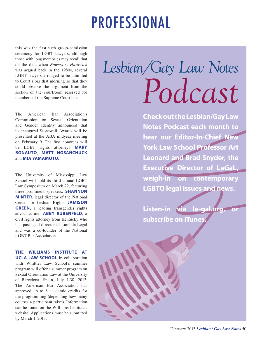## PROFESSIONAL

this was the first such group-admission ceremony for LGBT lawyers, although those with long memories may recall that on the date when *Bowers v. Hardwick* was argued back in the 1980s, several LGBT lawyers arranged to be admitted to Court's bar that morning so that they could observe the argument from the section of the courtroom reserved for members of the Supreme Court bar.

The American Bar Association's Commission on Sexual Orientation and Gender Identity announced that its inaugural Stonewall Awards will be presented at the ABA midyear meeting on February 9. The first honorees will be LGBT rights attorneys **MARY BONAUTO**, **MATT NOSANCHUCK** and **MIA YAMAMOTO**.

The University of Mississippi Law School will hold its third annual LGBT Law Symposium on March 22, featuring three prominent speakers: **SHANNON MINTER**, legal director of the National Center for Lesbian Rights, **JAMISON GREEN**, a leading transgender rights advocate, and **ABBY RUBENFELD**, a civil rights attorney from Kentucky who is a past legal director of Lambda Legal and was a co-founder of the National LGBT Bar Association.

**THE WILLIAMS INSTITUTE AT UCLA LAW SCHOOL** in collaboration with Whittier Law School's summer program will offer a summer program on Sexual Orientation Law at the University of Barcelona, Spain, July 1-30, 2013. The American Bar Association has approved up to 6 academic credits for the programming (depending how many courses a participant takes). Information can be found on the Williams Institute's website. Applications must be submitted by March 1, 2013.

# *Lesbian/Gay Law Notes Podcast Podcast*this was the first such group-admission<br>
ceremony for LGBT lawyers, although<br>
those with long memories may recall that<br>
on the date when *Bowers v. Hardwick*<br>
was argued back in the 1980s, several<br>
LGBT lawyers arranged to

**Check out the Lesbian/Gay Law Notes Podcast each month to hear our Editor-In-Chief New York Law School Professor Art Leonard and Brad Snyder, the Executive Director of LeGaL, weigh-in on contemporary LGBTQ legal issues and news.**

Listen-in via le-gal.org, **subscribe on iTunes.**

**CALL**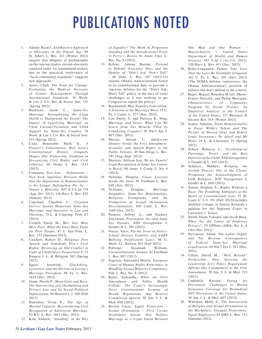# PUBLICATIONS NOTED

- 1. Adams, Ryan J., *An Objective Approach to Obscenity in the Digital Age*, 86 St. John's L. Rev. 211 (Winter 2012) (argues that ubiquity of pornography on the internet makes current obscenity standard under 1st Amendment archaic due to the practical irrelevance of "local community standards"; suggests new approach).
- 2. Ayers, Chad, *The Need for Change: Evaluating the Medical Necessity of Gender Reassignment Through International Standards*, 18 Wash. & Lee J. Civ. Rts. & Social Just. 351 (Spring 2012).
- 3. Beekman, Jason C., *Same-Sex Marriage: Strengthening the Legal Shield or Sharpening the Sword? The Impact of Legalizing Marriage on Child Custody/Visitation and Child Support for Same-Sex Couples*, 18 Wash. & Lee J. Civ. Rts. & Social Just. 215 (Spring 2012).
- 4. Cady, Honorable Mark S., *A Pioneer's Constitution: How Iowa's Constitutional History Uniquely Shapes Our Pioneering Tradition in Recognizing Civil Rights and Civil Liberties*, 60 Drake L. Rev. 1133  $(2012)$ .
- 5. Comment, *Tort Law Defamation New York Appellate Division Holds that the Imputation of Homosexuality is No Longer Defamation Per Se. – Yonaty v. Mincolla, 945 N.Y.S.2d 774 (App. Div. 2012)*, 126 Harv. L. Rev. 852 (January 2013).
- 6. Copeland, Charlton C., *Creation Stories: Stanley Hauerwas, Same-Sex Marriage, and Narrative in Law and Theology*, 75 L. & Contemp. Prob. 87 (2012).
- 7. Cordell, Emily M., *Mrs. Gay Meet Miss Poor: What the Gays Have Done for Poor People*, 47 U. San Fran. L. Rev. 133 (Summer 2012).
- 8. Crockett, Robert D., *Religious Free Speech and Somebody Else's Civil Rights: Reviewing an Old Conflict in Light of California's Proposition 8*, 13 Rutgers J. L. & Religion 363 (Spring 2012).
- 9. Egger, Jeremiah, *Glucksberg, Lawrence, and the Decline of Loving's Marriage Precedent*, 98 Va. L. Rev. 1825 (Dec. 2012).
- 10. Grant, Nicole P., *Mean Girls and Boys: The Intersection of Cyberbullying and Privacy Law and Its Social-Political Implications*, 56 Howard L.J. 169 (Fall 2012).
- 11. Hamilton, Vivan E., *The Age of Marital Capacity: Reconsidering Civil Recognition of Adolescent Marriage*, 92 B.U. L. Rev. 1817 (Dec. 2012).
- 12. Kim, Andrew, *"Standing" in the Way*

*of Equality? The Myth of Proponent Standing and the Jurisdictional Error in Perry v. Brown*, 61 Amer. Univ. L. Rev. No. 6 (2012).

- 13. Kolenc, Antony Barone, *Pretend to Defend: Executive Duty and the Demise of "Don't Ask, Don't Tell"*  , 48 Gonz. L. Rev. 107 (2012-13) (claims Obama Administration failed in its constitutional duty to provide a vigorous defense for the "Don't Ask, Don't Tell" policy in the face of court challenges as it was working to get Congress to repeal the policy).
- 14. Kuykendall, Mae, *Equality Federalism: A Solution to the Marriage Wars*, 15 U. Pa. J. Const. L. 377 (Nov. 2012).
- 15. Lin, Emily Y, and Patricia K. Tong, *Marriage and Taxes: What Can We Learn from Tax Returns Filed by Cohabiting Couples?*, 65 Nat'l Tax J. 807 (Dec. 2012).
- 16. Macias, Steven J., *Adolescent Identity Versus the First Amendment: Sexuality and Speech Rights in the Public Schools*, 49 San Diego L. Rev. 791 (Aug.-Sept. 2012).
- 17. Moreira, Adilson Jose, *We are Family! Legal Recognition of Same-Sex Unions in Brazil*, 60 Amer. J. Comp. L. No. 4 (2012).
- 18. NeJaime, Douglas, *Cause Lawyers Inside the State*, 81 Fordham L. Rev. 649 (Nov. 2012).
- 19. NeJaime, Douglas, *Marriage Inequality: Same-Sex Relationships, Religious Exemptions, and the Production of Sexual Orientation Discrimination*, 100 Calif. L. Rev. 1169 (Oct. 2012).
- 20. Parness, Jeffrey A., and Zachary Townsend, *Procreative Sex and Same Sex Parents*, XIII Georgetown J. Gender & L. 591 (2012).
- 21. Pierce, Yariv, *Put the Town on Notice: School District Liability and LGBT Bullying Notification Laws*, 46 U. Mich. J.L. Reform 303 (Fall 2012).
- 22. Pollvogt, Susannah William, *Unconstitutional Animus*, 81 Fordham L. Rev. 887 (2012).
- 23. Popescu, Alexandra Mirela, *European Court of Human Rights Reluctance in Handling Sexual Minority Complaints*, Pub. L. Rev. No. 4 (2012).
- 24. Rauer, Samantha, *When the First Amendment and Public Health Collide: The Court's Increasingly Strict Constitutional Scrutiny of Health Regulations that Restrict Commercial Speech*, 38 Am. J. L. & Med. 690 (2012).
- 25. Recent Cases, *Equal Protection Sexual Orientation – First Circuit Invalidates Statute that Defines Marriage as a Legal Union Between*

*One Man and One Woman. – Massachusetts v. United States Department of Health and Human Services, 682 F.3d 1 (1st Cir. 2012)*, 126 Harv. L. Rev. 611 (Dec. 2012).

- 26. Rider-Longmaid, Parker, *Take Care That the Laws Be Faithfully Litigated*, 161 U. Pa. L. Rev. 291 (Dec. 2012) (The DOMA defense controversy; the Obama Administration's position of enforce but don't defend in the courts).
- 27. Rojas, Miguel, Bouchra M'zali, Marie-France Turcotte, and Philip Merrigan, *Characteristics of Companies Targeted by Social Proxies: An Empirical Analysis in the Context of the United States*, 117 Business & Society Rev. 515 (Winter 2012).
- 28. Sanna, Antonio, *Silent Homosexuality in Oscar Wilde's Teleny and The Picture of Dorian Gray and Robert Louis Stevenson's Dr Jekyll and Mr Hyde*, 24 L. & Literature 21 (Spring 2012).
- 29. Scharf, Rebecca L., *Psychological Parentage, Troxel, and the Best Interests of the Child*, XIII Georgetown J. Gender & L. 615 (2012).
- 30. Schutzer, Mathew, *Bringing the Asylum Process Out of the Closet: Promoting the Acknowledgment of LGB Refugees*, XIII Georgetown J. Gender & L. 669 (2012).
- 31. Simon, Stephen A., *Rights Without a Base: The Troubling Ambiguity at the Heart of Constitutional Law*, 57 St. Louis U. L.J. 101 (Fall 2012)(includes detailed critique of Justice Kennedy's opinion for the Supreme Court in Lawrence v. Texas).
- 32. Smith, Diane Vaksdal, and Jacob Burg, *What Are the Limits of Employee Privacy?*, 29 GPSolo (ABA) No. 6, 8 (Nov/Dec 2012).
- 33. Stevenson, Adam, *The Labor Supply and Tax Revenue Consequences of Federal Same-Sex Marriage Legalization*, 65 Nat'l Tax J. 783 (Dec. 2012).
- 34. Ullian, David M., *"Well Beyond" Permissible: How Severing the Leadership Act's Policy Requirement Affirms Our Commitment to the First Amendment*, 38 Am. J. L. & Med. 713 (2012).
- 35. Underhill, Kristen, *Paying for Prevention: Challenges to Health Insurance Coverage for Biomedical HIV Prevention in the United States*, 38 Am. J. L. & Med. 607 (2012).
- 36. Whitman, Molly E., *The Intersection of Religion and Sexual Orientation in the Workplace: Unequal Protections, Equal Employees*, 65 SMU L. Rev. 713 (Summer 2012).